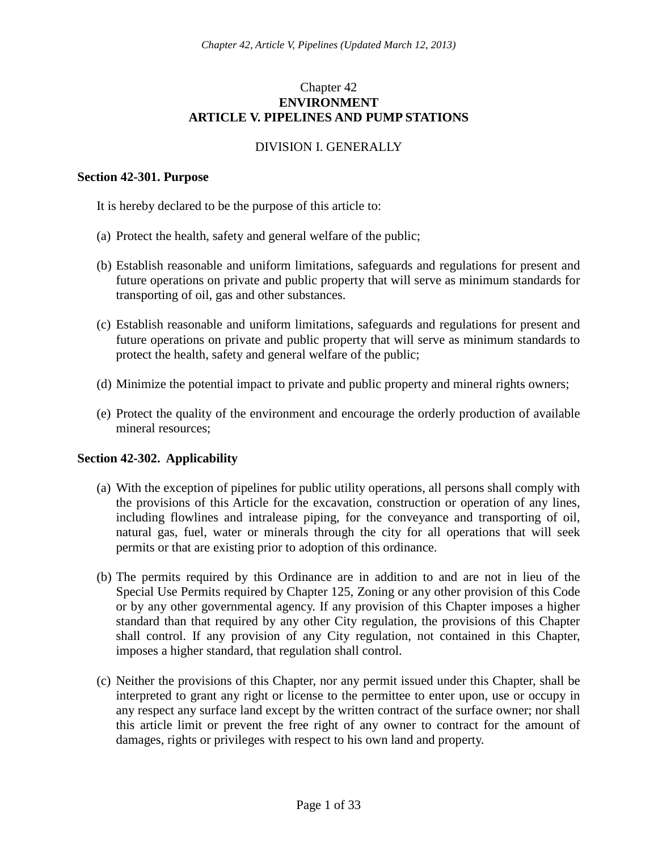# Chapter 42 **ENVIRONMENT ARTICLE V. PIPELINES AND PUMP STATIONS**

# DIVISION I. GENERALLY

#### **Section 42-301. Purpose**

It is hereby declared to be the purpose of this article to:

- (a) Protect the health, safety and general welfare of the public;
- (b) Establish reasonable and uniform limitations, safeguards and regulations for present and future operations on private and public property that will serve as minimum standards for transporting of oil, gas and other substances.
- (c) Establish reasonable and uniform limitations, safeguards and regulations for present and future operations on private and public property that will serve as minimum standards to protect the health, safety and general welfare of the public;
- (d) Minimize the potential impact to private and public property and mineral rights owners;
- (e) Protect the quality of the environment and encourage the orderly production of available mineral resources;

## **Section 42-302. Applicability**

- (a) With the exception of pipelines for public utility operations, all persons shall comply with the provisions of this Article for the excavation, construction or operation of any lines, including flowlines and intralease piping, for the conveyance and transporting of oil, natural gas, fuel, water or minerals through the city for all operations that will seek permits or that are existing prior to adoption of this ordinance.
- (b) The permits required by this Ordinance are in addition to and are not in lieu of the Special Use Permits required by Chapter 125, Zoning or any other provision of this Code or by any other governmental agency. If any provision of this Chapter imposes a higher standard than that required by any other City regulation, the provisions of this Chapter shall control. If any provision of any City regulation, not contained in this Chapter, imposes a higher standard, that regulation shall control.
- (c) Neither the provisions of this Chapter, nor any permit issued under this Chapter, shall be interpreted to grant any right or license to the permittee to enter upon, use or occupy in any respect any surface land except by the written contract of the surface owner; nor shall this article limit or prevent the free right of any owner to contract for the amount of damages, rights or privileges with respect to his own land and property.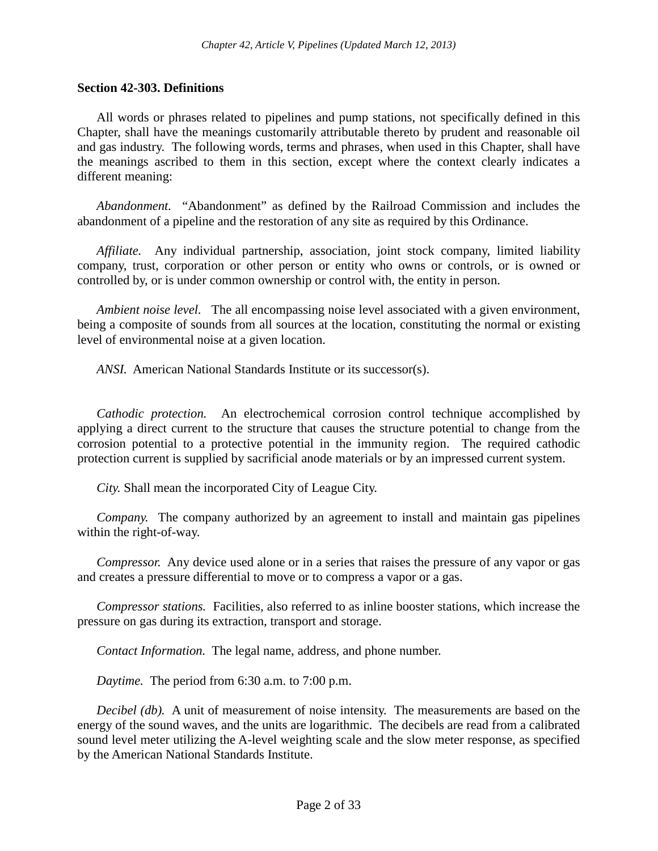## **Section 42-303. Definitions**

All words or phrases related to pipelines and pump stations, not specifically defined in this Chapter, shall have the meanings customarily attributable thereto by prudent and reasonable oil and gas industry. The following words, terms and phrases, when used in this Chapter, shall have the meanings ascribed to them in this section, except where the context clearly indicates a different meaning:

*Abandonment.* "Abandonment" as defined by the Railroad Commission and includes the abandonment of a pipeline and the restoration of any site as required by this Ordinance.

*Affiliate.* Any individual partnership, association, joint stock company, limited liability company, trust, corporation or other person or entity who owns or controls, or is owned or controlled by, or is under common ownership or control with, the entity in person.

*Ambient noise level.* The all encompassing noise level associated with a given environment, being a composite of sounds from all sources at the location, constituting the normal or existing level of environmental noise at a given location.

*ANSI.* American National Standards Institute or its successor(s).

*Cathodic protection.* An electrochemical corrosion control technique accomplished by applying a direct current to the structure that causes the structure potential to change from the corrosion potential to a protective potential in the immunity region. The required cathodic protection current is supplied by sacrificial anode materials or by an impressed current system.

*City.* Shall mean the incorporated City of League City.

*Company.* The company authorized by an agreement to install and maintain gas pipelines within the right-of-way.

*Compressor.* Any device used alone or in a series that raises the pressure of any vapor or gas and creates a pressure differential to move or to compress a vapor or a gas.

*Compressor stations.* Facilities, also referred to as inline booster stations, which increase the pressure on gas during its extraction, transport and storage.

*Contact Information.* The legal name, address, and phone number.

*Daytime.* The period from 6:30 a.m. to 7:00 p.m.

*Decibel (db).* A unit of measurement of noise intensity. The measurements are based on the energy of the sound waves, and the units are logarithmic. The decibels are read from a calibrated sound level meter utilizing the A-level weighting scale and the slow meter response, as specified by the American National Standards Institute.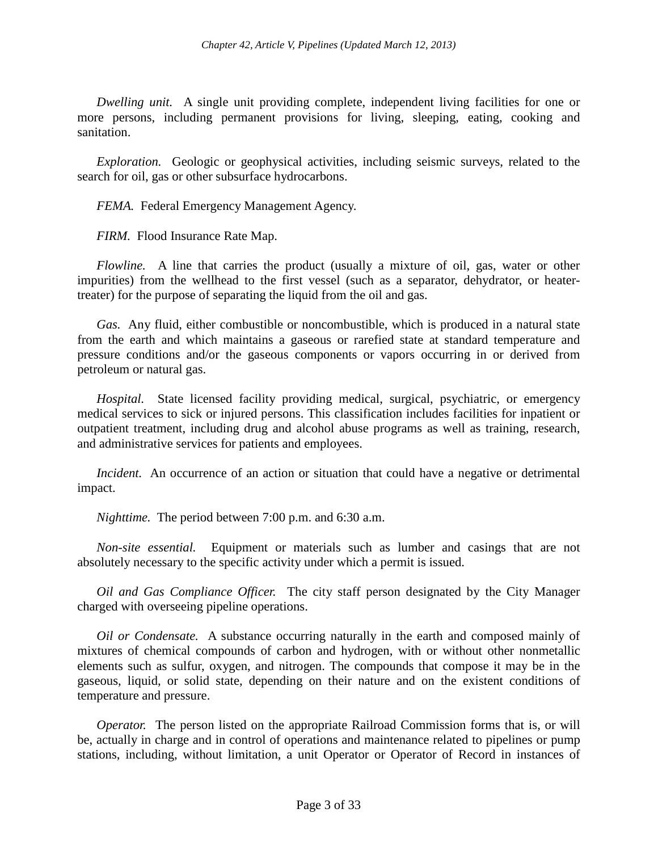*Dwelling unit.* A single unit providing complete, independent living facilities for one or more persons, including permanent provisions for living, sleeping, eating, cooking and sanitation.

*Exploration.* Geologic or geophysical activities, including seismic surveys, related to the search for oil, gas or other subsurface hydrocarbons.

*FEMA.* Federal Emergency Management Agency.

*FIRM.* Flood Insurance Rate Map.

*Flowline.* A line that carries the product (usually a mixture of oil, gas, water or other impurities) from the wellhead to the first vessel (such as a separator, dehydrator, or heatertreater) for the purpose of separating the liquid from the oil and gas.

*Gas.* Any fluid, either combustible or noncombustible, which is produced in a natural state from the earth and which maintains a gaseous or rarefied state at standard temperature and pressure conditions and/or the gaseous components or vapors occurring in or derived from petroleum or natural gas.

*Hospital.* State licensed facility providing medical, surgical, psychiatric, or emergency medical services to sick or injured persons. This classification includes facilities for inpatient or outpatient treatment, including drug and alcohol abuse programs as well as training, research, and administrative services for patients and employees.

*Incident.* An occurrence of an action or situation that could have a negative or detrimental impact.

*Nighttime.* The period between 7:00 p.m. and 6:30 a.m.

*Non-site essential.* Equipment or materials such as lumber and casings that are not absolutely necessary to the specific activity under which a permit is issued.

*Oil and Gas Compliance Officer.* The city staff person designated by the City Manager charged with overseeing pipeline operations.

*Oil or Condensate.* A substance occurring naturally in the earth and composed mainly of mixtures of chemical compounds of carbon and hydrogen, with or without other nonmetallic elements such as sulfur, oxygen, and nitrogen. The compounds that compose it may be in the gaseous, liquid, or solid state, depending on their nature and on the existent conditions of temperature and pressure.

*Operator.* The person listed on the appropriate Railroad Commission forms that is, or will be, actually in charge and in control of operations and maintenance related to pipelines or pump stations, including, without limitation, a unit Operator or Operator of Record in instances of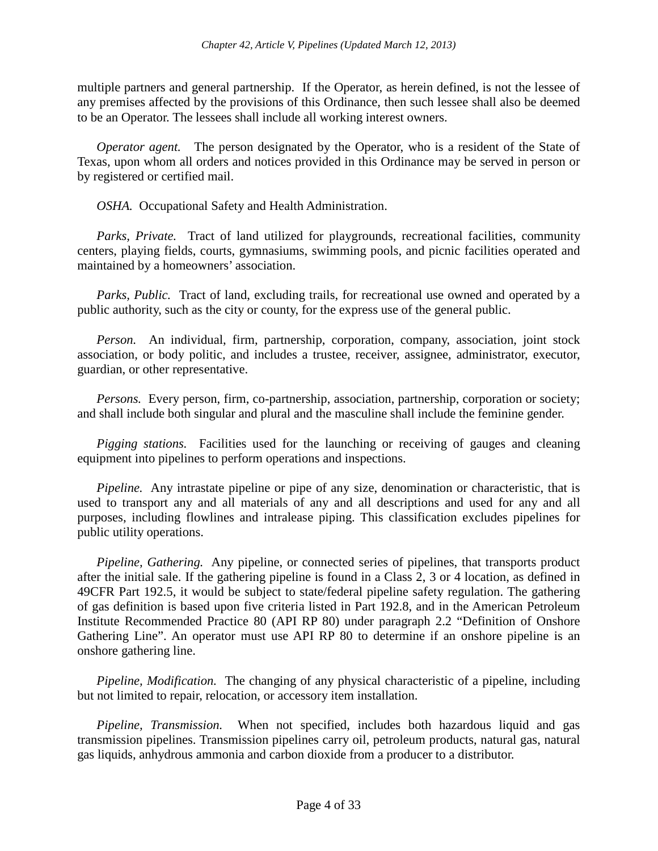multiple partners and general partnership. If the Operator, as herein defined, is not the lessee of any premises affected by the provisions of this Ordinance, then such lessee shall also be deemed to be an Operator. The lessees shall include all working interest owners.

*Operator agent.* The person designated by the Operator, who is a resident of the State of Texas, upon whom all orders and notices provided in this Ordinance may be served in person or by registered or certified mail.

*OSHA.* Occupational Safety and Health Administration.

*Parks, Private.* Tract of land utilized for playgrounds, recreational facilities, community centers, playing fields, courts, gymnasiums, swimming pools, and picnic facilities operated and maintained by a homeowners' association.

*Parks, Public.* Tract of land, excluding trails, for recreational use owned and operated by a public authority, such as the city or county, for the express use of the general public.

*Person.* An individual, firm, partnership, corporation, company, association, joint stock association, or body politic, and includes a trustee, receiver, assignee, administrator, executor, guardian, or other representative.

*Persons.* Every person, firm, co-partnership, association, partnership, corporation or society; and shall include both singular and plural and the masculine shall include the feminine gender.

*Pigging stations.* Facilities used for the launching or receiving of gauges and cleaning equipment into pipelines to perform operations and inspections.

*Pipeline.* Any intrastate pipeline or pipe of any size, denomination or characteristic, that is used to transport any and all materials of any and all descriptions and used for any and all purposes, including flowlines and intralease piping. This classification excludes pipelines for public utility operations.

*Pipeline, Gathering.* Any pipeline, or connected series of pipelines, that transports product after the initial sale. If the gathering pipeline is found in a Class 2, 3 or 4 location, as defined in 49CFR Part 192.5, it would be subject to state/federal pipeline safety regulation. The gathering of gas definition is based upon five criteria listed in Part 192.8, and in the American Petroleum Institute Recommended Practice 80 (API RP 80) under paragraph 2.2 "Definition of Onshore Gathering Line". An operator must use API RP 80 to determine if an onshore pipeline is an onshore gathering line.

*Pipeline, Modification.* The changing of any physical characteristic of a pipeline, including but not limited to repair, relocation, or accessory item installation.

*Pipeline, Transmission.* When not specified, includes both hazardous liquid and gas transmission pipelines. Transmission pipelines carry oil, petroleum products, natural gas, natural gas liquids, anhydrous ammonia and carbon dioxide from a producer to a distributor.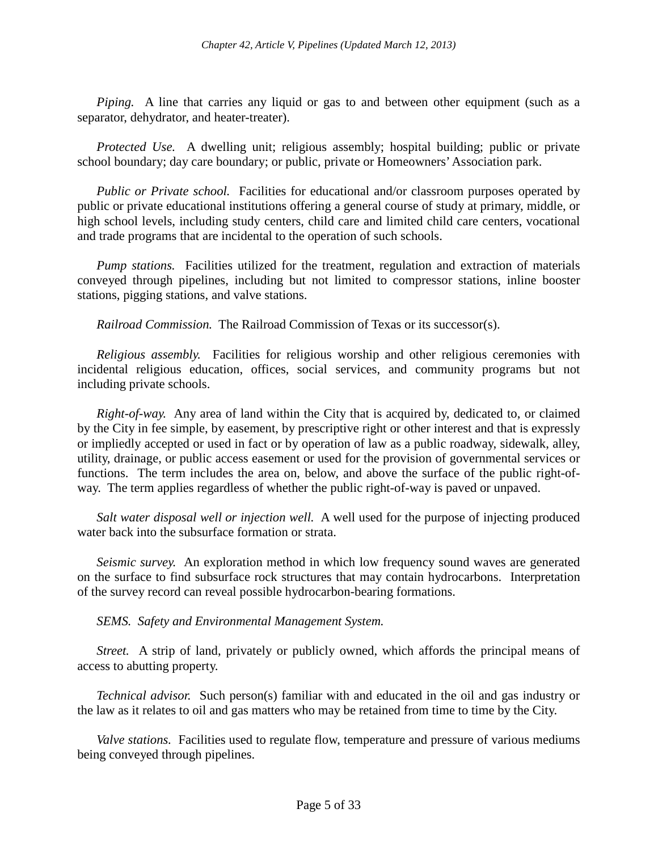*Piping.* A line that carries any liquid or gas to and between other equipment (such as a separator, dehydrator, and heater-treater).

*Protected Use.* A dwelling unit; religious assembly; hospital building; public or private school boundary; day care boundary; or public, private or Homeowners' Association park.

*Public or Private school.* Facilities for educational and/or classroom purposes operated by public or private educational institutions offering a general course of study at primary, middle, or high school levels, including study centers, child care and limited child care centers, vocational and trade programs that are incidental to the operation of such schools.

*Pump stations.* Facilities utilized for the treatment, regulation and extraction of materials conveyed through pipelines, including but not limited to compressor stations, inline booster stations, pigging stations, and valve stations.

*Railroad Commission.* The Railroad Commission of Texas or its successor(s).

*Religious assembly.* Facilities for religious worship and other religious ceremonies with incidental religious education, offices, social services, and community programs but not including private schools.

*Right-of-way.* Any area of land within the City that is acquired by, dedicated to, or claimed by the City in fee simple, by easement, by prescriptive right or other interest and that is expressly or impliedly accepted or used in fact or by operation of law as a public roadway, sidewalk, alley, utility, drainage, or public access easement or used for the provision of governmental services or functions. The term includes the area on, below, and above the surface of the public right-ofway. The term applies regardless of whether the public right-of-way is paved or unpaved.

*Salt water disposal well or injection well.* A well used for the purpose of injecting produced water back into the subsurface formation or strata.

*Seismic survey.* An exploration method in which low frequency sound waves are generated on the surface to find subsurface rock structures that may contain hydrocarbons. Interpretation of the survey record can reveal possible hydrocarbon-bearing formations.

*SEMS. Safety and Environmental Management System.*

*Street.* A strip of land, privately or publicly owned, which affords the principal means of access to abutting property.

*Technical advisor.* Such person(s) familiar with and educated in the oil and gas industry or the law as it relates to oil and gas matters who may be retained from time to time by the City.

*Valve stations.* Facilities used to regulate flow, temperature and pressure of various mediums being conveyed through pipelines.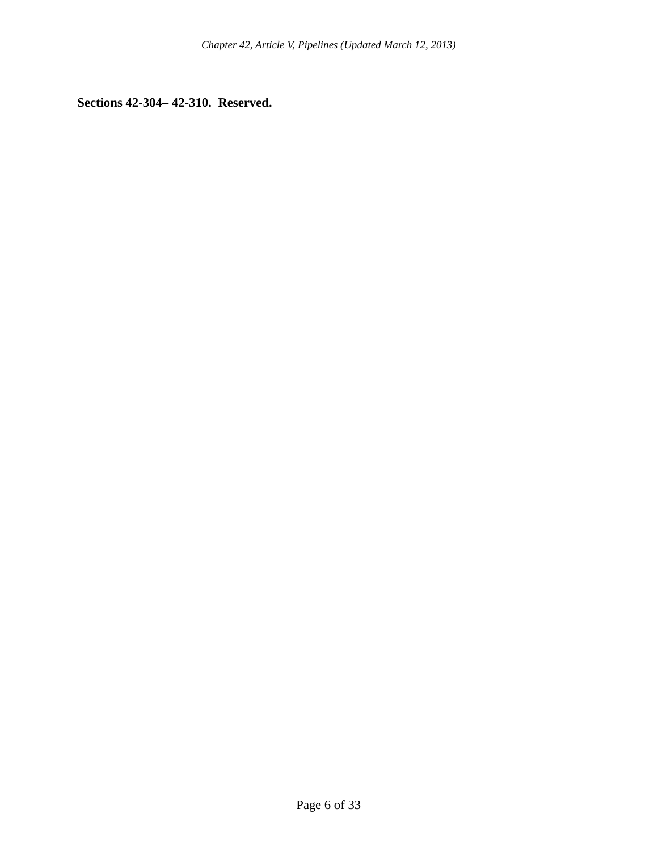**Sections 42-304– 42-310. Reserved.**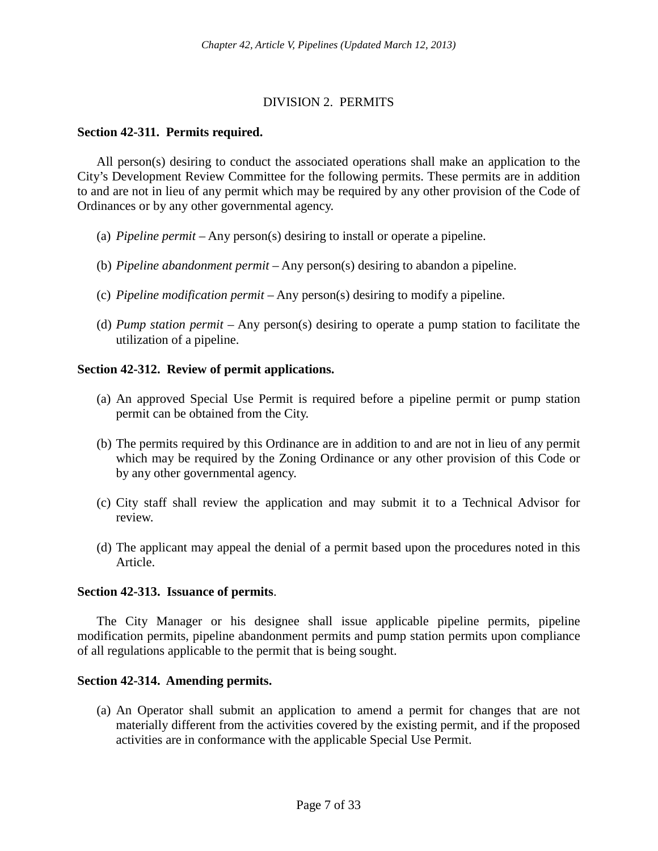# DIVISION 2. PERMITS

## **Section 42-311. Permits required.**

All person(s) desiring to conduct the associated operations shall make an application to the City's Development Review Committee for the following permits. These permits are in addition to and are not in lieu of any permit which may be required by any other provision of the Code of Ordinances or by any other governmental agency.

- (a) *Pipeline permit –* Any person(s) desiring to install or operate a pipeline.
- (b) *Pipeline abandonment permit* Any person(s) desiring to abandon a pipeline.
- (c) *Pipeline modification permit* Any person(s) desiring to modify a pipeline.
- (d) *Pump station permit* Any person(s) desiring to operate a pump station to facilitate the utilization of a pipeline.

# **Section 42-312. Review of permit applications.**

- (a) An approved Special Use Permit is required before a pipeline permit or pump station permit can be obtained from the City.
- (b) The permits required by this Ordinance are in addition to and are not in lieu of any permit which may be required by the Zoning Ordinance or any other provision of this Code or by any other governmental agency.
- (c) City staff shall review the application and may submit it to a Technical Advisor for review.
- (d) The applicant may appeal the denial of a permit based upon the procedures noted in this Article.

## **Section 42-313. Issuance of permits**.

The City Manager or his designee shall issue applicable pipeline permits, pipeline modification permits, pipeline abandonment permits and pump station permits upon compliance of all regulations applicable to the permit that is being sought.

## **Section 42-314. Amending permits.**

(a) An Operator shall submit an application to amend a permit for changes that are not materially different from the activities covered by the existing permit, and if the proposed activities are in conformance with the applicable Special Use Permit.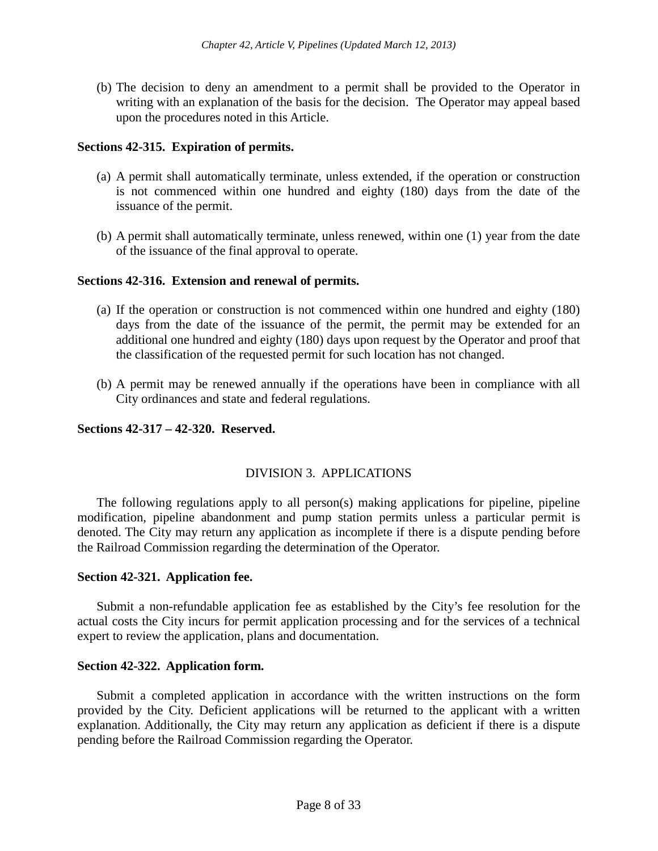(b) The decision to deny an amendment to a permit shall be provided to the Operator in writing with an explanation of the basis for the decision. The Operator may appeal based upon the procedures noted in this Article.

# **Sections 42-315. Expiration of permits.**

- (a) A permit shall automatically terminate, unless extended, if the operation or construction is not commenced within one hundred and eighty (180) days from the date of the issuance of the permit.
- (b) A permit shall automatically terminate, unless renewed, within one (1) year from the date of the issuance of the final approval to operate.

# **Sections 42-316. Extension and renewal of permits.**

- (a) If the operation or construction is not commenced within one hundred and eighty (180) days from the date of the issuance of the permit, the permit may be extended for an additional one hundred and eighty (180) days upon request by the Operator and proof that the classification of the requested permit for such location has not changed.
- (b) A permit may be renewed annually if the operations have been in compliance with all City ordinances and state and federal regulations.

## **Sections 42-317 – 42-320. Reserved.**

## DIVISION 3. APPLICATIONS

The following regulations apply to all person(s) making applications for pipeline, pipeline modification, pipeline abandonment and pump station permits unless a particular permit is denoted. The City may return any application as incomplete if there is a dispute pending before the Railroad Commission regarding the determination of the Operator.

## **Section 42-321. Application fee.**

Submit a non-refundable application fee as established by the City's fee resolution for the actual costs the City incurs for permit application processing and for the services of a technical expert to review the application, plans and documentation.

## **Section 42-322. Application form.**

Submit a completed application in accordance with the written instructions on the form provided by the City. Deficient applications will be returned to the applicant with a written explanation. Additionally, the City may return any application as deficient if there is a dispute pending before the Railroad Commission regarding the Operator.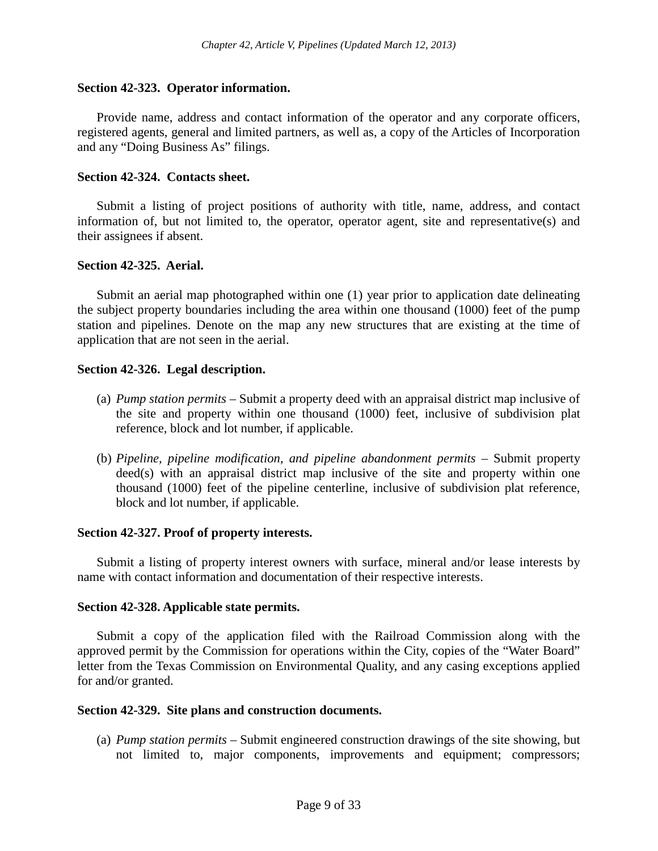#### **Section 42-323. Operator information.**

Provide name, address and contact information of the operator and any corporate officers, registered agents, general and limited partners, as well as, a copy of the Articles of Incorporation and any "Doing Business As" filings.

#### **Section 42-324. Contacts sheet.**

Submit a listing of project positions of authority with title, name, address, and contact information of, but not limited to, the operator, operator agent, site and representative(s) and their assignees if absent.

#### **Section 42-325. Aerial.**

Submit an aerial map photographed within one (1) year prior to application date delineating the subject property boundaries including the area within one thousand (1000) feet of the pump station and pipelines. Denote on the map any new structures that are existing at the time of application that are not seen in the aerial.

#### **Section 42-326. Legal description.**

- (a) *Pump station permits* Submit a property deed with an appraisal district map inclusive of the site and property within one thousand (1000) feet, inclusive of subdivision plat reference, block and lot number, if applicable.
- (b) *Pipeline, pipeline modification, and pipeline abandonment permits –* Submit property deed(s) with an appraisal district map inclusive of the site and property within one thousand (1000) feet of the pipeline centerline, inclusive of subdivision plat reference, block and lot number, if applicable.

#### **Section 42-327. Proof of property interests.**

Submit a listing of property interest owners with surface, mineral and/or lease interests by name with contact information and documentation of their respective interests.

#### **Section 42-328. Applicable state permits.**

Submit a copy of the application filed with the Railroad Commission along with the approved permit by the Commission for operations within the City, copies of the "Water Board" letter from the Texas Commission on Environmental Quality, and any casing exceptions applied for and/or granted.

#### **Section 42-329. Site plans and construction documents.**

(a) *Pump station permits –* Submit engineered construction drawings of the site showing, but not limited to, major components, improvements and equipment; compressors;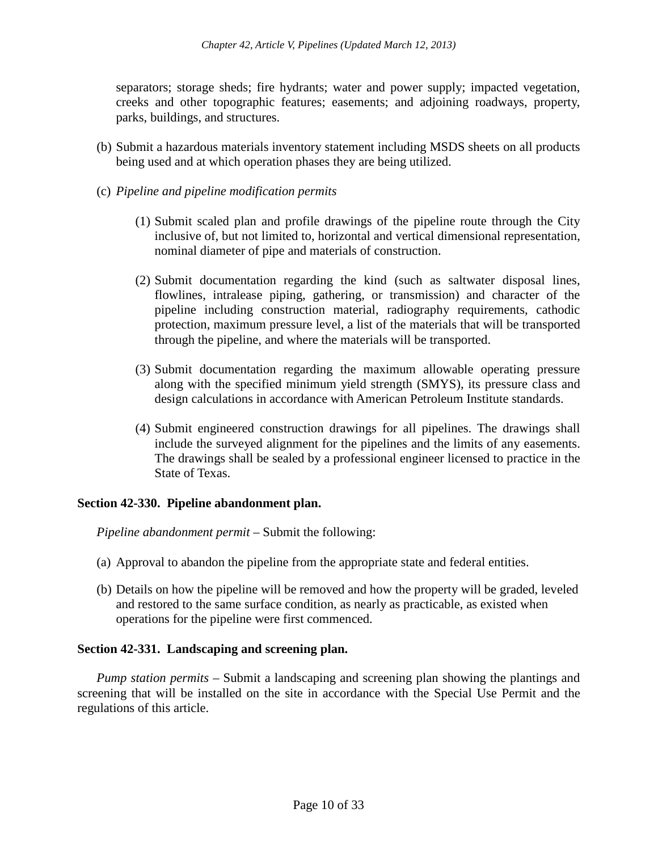separators; storage sheds; fire hydrants; water and power supply; impacted vegetation, creeks and other topographic features; easements; and adjoining roadways, property, parks, buildings, and structures.

- (b) Submit a hazardous materials inventory statement including MSDS sheets on all products being used and at which operation phases they are being utilized.
- (c) *Pipeline and pipeline modification permits*
	- (1) Submit scaled plan and profile drawings of the pipeline route through the City inclusive of, but not limited to, horizontal and vertical dimensional representation, nominal diameter of pipe and materials of construction.
	- (2) Submit documentation regarding the kind (such as saltwater disposal lines, flowlines, intralease piping, gathering, or transmission) and character of the pipeline including construction material, radiography requirements, cathodic protection, maximum pressure level, a list of the materials that will be transported through the pipeline, and where the materials will be transported.
	- (3) Submit documentation regarding the maximum allowable operating pressure along with the specified minimum yield strength (SMYS), its pressure class and design calculations in accordance with American Petroleum Institute standards.
	- (4) Submit engineered construction drawings for all pipelines. The drawings shall include the surveyed alignment for the pipelines and the limits of any easements. The drawings shall be sealed by a professional engineer licensed to practice in the State of Texas.

## **Section 42-330. Pipeline abandonment plan.**

*Pipeline abandonment permit –* Submit the following:

- (a) Approval to abandon the pipeline from the appropriate state and federal entities.
- (b) Details on how the pipeline will be removed and how the property will be graded, leveled and restored to the same surface condition, as nearly as practicable, as existed when operations for the pipeline were first commenced.

## **Section 42-331. Landscaping and screening plan.**

*Pump station permits –* Submit a landscaping and screening plan showing the plantings and screening that will be installed on the site in accordance with the Special Use Permit and the regulations of this article.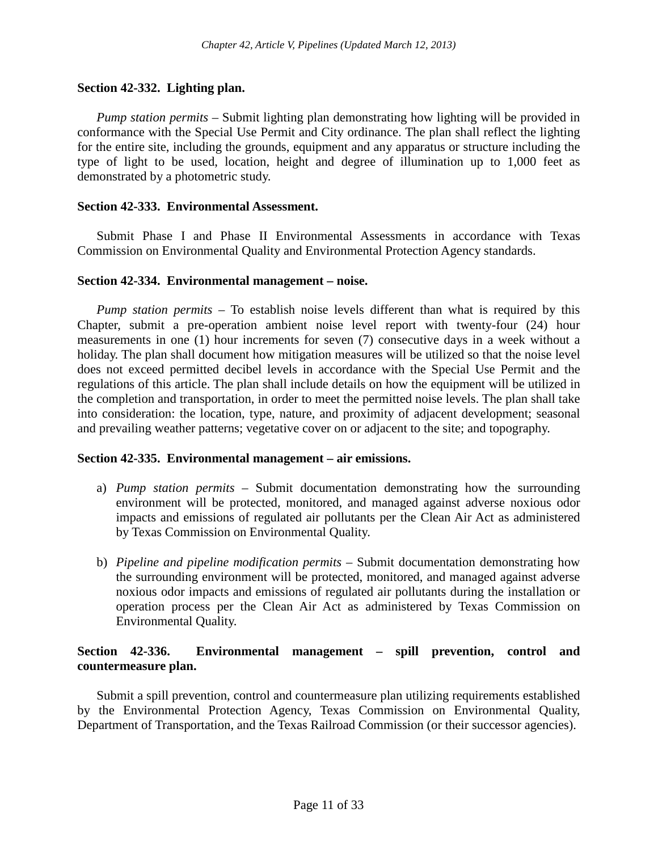#### **Section 42-332. Lighting plan.**

*Pump station permits* – Submit lighting plan demonstrating how lighting will be provided in conformance with the Special Use Permit and City ordinance. The plan shall reflect the lighting for the entire site, including the grounds, equipment and any apparatus or structure including the type of light to be used, location, height and degree of illumination up to 1,000 feet as demonstrated by a photometric study.

#### **Section 42-333. Environmental Assessment.**

Submit Phase I and Phase II Environmental Assessments in accordance with Texas Commission on Environmental Quality and Environmental Protection Agency standards.

#### **Section 42-334. Environmental management – noise.**

*Pump station permits –* To establish noise levels different than what is required by this Chapter, submit a pre-operation ambient noise level report with twenty-four (24) hour measurements in one (1) hour increments for seven (7) consecutive days in a week without a holiday. The plan shall document how mitigation measures will be utilized so that the noise level does not exceed permitted decibel levels in accordance with the Special Use Permit and the regulations of this article. The plan shall include details on how the equipment will be utilized in the completion and transportation, in order to meet the permitted noise levels. The plan shall take into consideration: the location, type, nature, and proximity of adjacent development; seasonal and prevailing weather patterns; vegetative cover on or adjacent to the site; and topography.

#### **Section 42-335. Environmental management – air emissions.**

- a) *Pump station permits*  Submit documentation demonstrating how the surrounding environment will be protected, monitored, and managed against adverse noxious odor impacts and emissions of regulated air pollutants per the Clean Air Act as administered by Texas Commission on Environmental Quality.
- b) *Pipeline and pipeline modification permits –* Submit documentation demonstrating how the surrounding environment will be protected, monitored, and managed against adverse noxious odor impacts and emissions of regulated air pollutants during the installation or operation process per the Clean Air Act as administered by Texas Commission on Environmental Quality.

# **Section 42-336. Environmental management – spill prevention, control and countermeasure plan.**

Submit a spill prevention, control and countermeasure plan utilizing requirements established by the Environmental Protection Agency, Texas Commission on Environmental Quality, Department of Transportation, and the Texas Railroad Commission (or their successor agencies).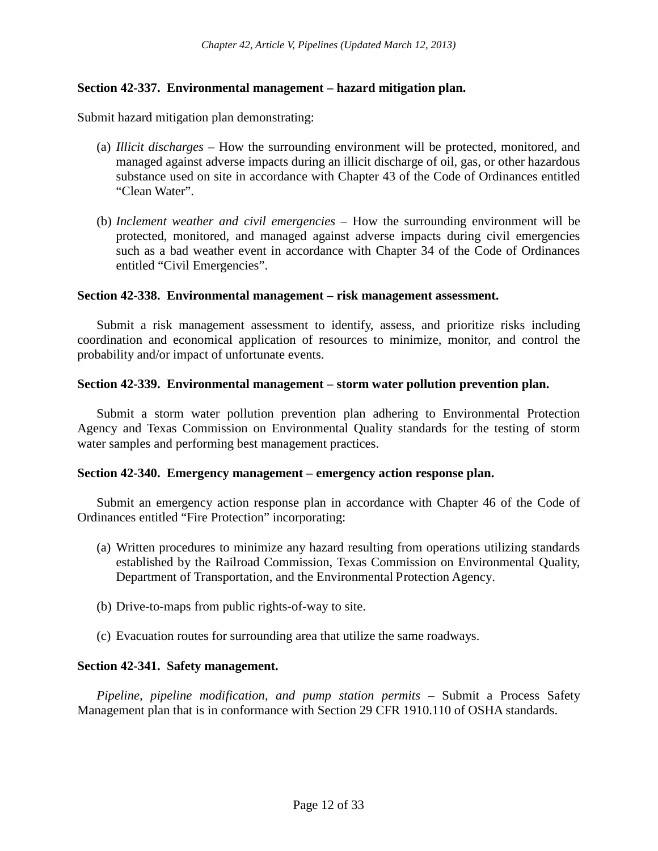## **Section 42-337. Environmental management – hazard mitigation plan.**

Submit hazard mitigation plan demonstrating:

- (a) *Illicit discharges –* How the surrounding environment will be protected, monitored, and managed against adverse impacts during an illicit discharge of oil, gas, or other hazardous substance used on site in accordance with Chapter 43 of the Code of Ordinances entitled "Clean Water".
- (b) *Inclement weather and civil emergencies –* How the surrounding environment will be protected, monitored, and managed against adverse impacts during civil emergencies such as a bad weather event in accordance with Chapter 34 of the Code of Ordinances entitled "Civil Emergencies".

#### **Section 42-338. Environmental management – risk management assessment.**

Submit a risk management assessment to identify, assess, and prioritize risks including coordination and economical application of resources to minimize, monitor, and control the probability and/or impact of unfortunate events.

#### **Section 42-339. Environmental management – storm water pollution prevention plan.**

Submit a storm water pollution prevention plan adhering to Environmental Protection Agency and Texas Commission on Environmental Quality standards for the testing of storm water samples and performing best management practices.

#### **Section 42-340. Emergency management – emergency action response plan.**

Submit an emergency action response plan in accordance with Chapter 46 of the Code of Ordinances entitled "Fire Protection" incorporating:

- (a) Written procedures to minimize any hazard resulting from operations utilizing standards established by the Railroad Commission, Texas Commission on Environmental Quality, Department of Transportation, and the Environmental Protection Agency.
- (b) Drive-to-maps from public rights-of-way to site.
- (c) Evacuation routes for surrounding area that utilize the same roadways.

#### **Section 42-341. Safety management.**

*Pipeline, pipeline modification, and pump station permits –* Submit a Process Safety Management plan that is in conformance with Section 29 CFR 1910.110 of OSHA standards.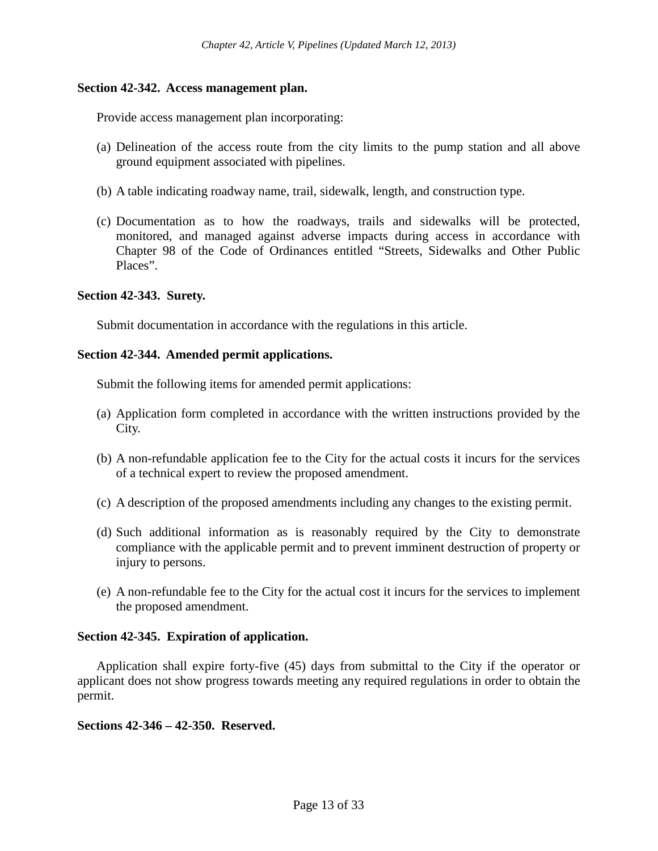## **Section 42-342. Access management plan.**

Provide access management plan incorporating:

- (a) Delineation of the access route from the city limits to the pump station and all above ground equipment associated with pipelines.
- (b) A table indicating roadway name, trail, sidewalk, length, and construction type.
- (c) Documentation as to how the roadways, trails and sidewalks will be protected, monitored, and managed against adverse impacts during access in accordance with Chapter 98 of the Code of Ordinances entitled "Streets, Sidewalks and Other Public Places".

# **Section 42-343. Surety.**

Submit documentation in accordance with the regulations in this article.

## **Section 42-344. Amended permit applications.**

Submit the following items for amended permit applications:

- (a) Application form completed in accordance with the written instructions provided by the City.
- (b) A non-refundable application fee to the City for the actual costs it incurs for the services of a technical expert to review the proposed amendment.
- (c) A description of the proposed amendments including any changes to the existing permit.
- (d) Such additional information as is reasonably required by the City to demonstrate compliance with the applicable permit and to prevent imminent destruction of property or injury to persons.
- (e) A non-refundable fee to the City for the actual cost it incurs for the services to implement the proposed amendment.

## **Section 42-345. Expiration of application.**

Application shall expire forty-five (45) days from submittal to the City if the operator or applicant does not show progress towards meeting any required regulations in order to obtain the permit.

## **Sections 42-346 – 42-350. Reserved.**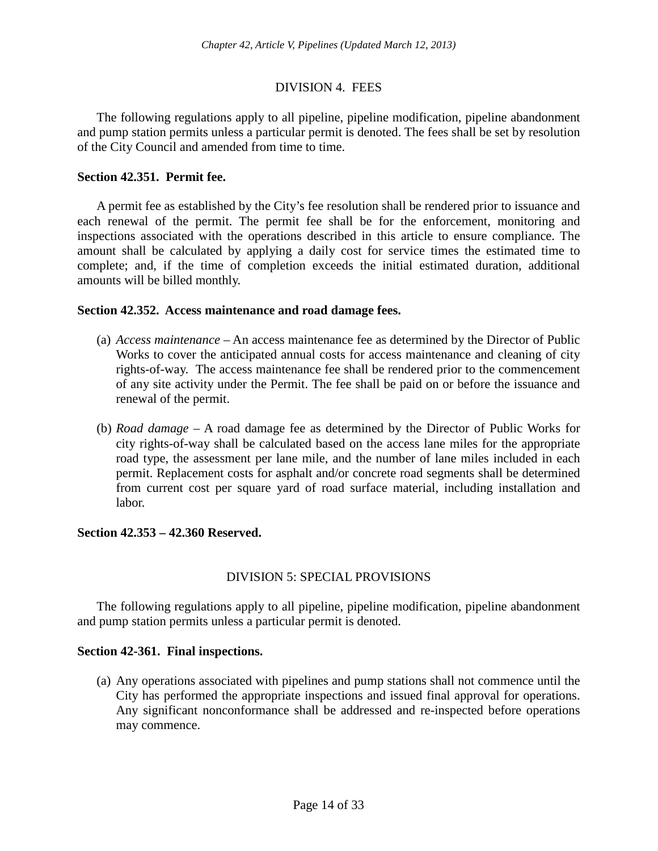# DIVISION 4. FEES

The following regulations apply to all pipeline, pipeline modification, pipeline abandonment and pump station permits unless a particular permit is denoted. The fees shall be set by resolution of the City Council and amended from time to time.

## **Section 42.351. Permit fee.**

A permit fee as established by the City's fee resolution shall be rendered prior to issuance and each renewal of the permit. The permit fee shall be for the enforcement, monitoring and inspections associated with the operations described in this article to ensure compliance. The amount shall be calculated by applying a daily cost for service times the estimated time to complete; and, if the time of completion exceeds the initial estimated duration, additional amounts will be billed monthly.

#### **Section 42.352. Access maintenance and road damage fees.**

- (a) *Access maintenance –* An access maintenance fee as determined by the Director of Public Works to cover the anticipated annual costs for access maintenance and cleaning of city rights-of-way. The access maintenance fee shall be rendered prior to the commencement of any site activity under the Permit. The fee shall be paid on or before the issuance and renewal of the permit.
- (b) *Road damage –* A road damage fee as determined by the Director of Public Works for city rights-of-way shall be calculated based on the access lane miles for the appropriate road type, the assessment per lane mile, and the number of lane miles included in each permit. Replacement costs for asphalt and/or concrete road segments shall be determined from current cost per square yard of road surface material, including installation and labor.

## **Section 42.353 – 42.360 Reserved.**

## DIVISION 5: SPECIAL PROVISIONS

The following regulations apply to all pipeline, pipeline modification, pipeline abandonment and pump station permits unless a particular permit is denoted.

#### **Section 42-361. Final inspections.**

(a) Any operations associated with pipelines and pump stations shall not commence until the City has performed the appropriate inspections and issued final approval for operations. Any significant nonconformance shall be addressed and re-inspected before operations may commence.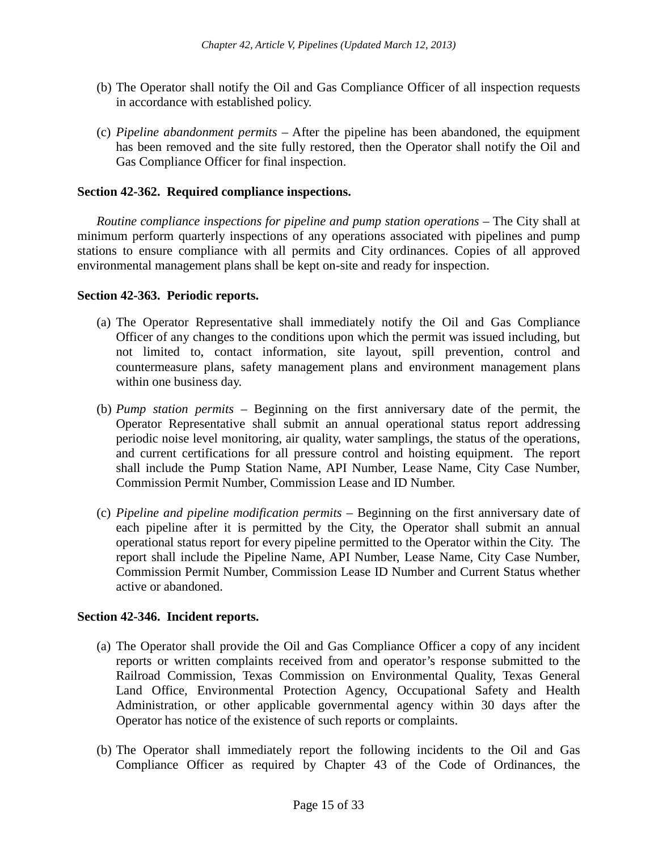- (b) The Operator shall notify the Oil and Gas Compliance Officer of all inspection requests in accordance with established policy.
- (c) *Pipeline abandonment permits* After the pipeline has been abandoned, the equipment has been removed and the site fully restored, then the Operator shall notify the Oil and Gas Compliance Officer for final inspection.

## **Section 42-362. Required compliance inspections.**

*Routine compliance inspections for pipeline and pump station operations –* The City shall at minimum perform quarterly inspections of any operations associated with pipelines and pump stations to ensure compliance with all permits and City ordinances. Copies of all approved environmental management plans shall be kept on-site and ready for inspection.

## **Section 42-363. Periodic reports.**

- (a) The Operator Representative shall immediately notify the Oil and Gas Compliance Officer of any changes to the conditions upon which the permit was issued including, but not limited to, contact information, site layout, spill prevention, control and countermeasure plans, safety management plans and environment management plans within one business day.
- (b) *Pump station permits –* Beginning on the first anniversary date of the permit, the Operator Representative shall submit an annual operational status report addressing periodic noise level monitoring, air quality, water samplings, the status of the operations, and current certifications for all pressure control and hoisting equipment. The report shall include the Pump Station Name, API Number, Lease Name, City Case Number, Commission Permit Number, Commission Lease and ID Number.
- (c) *Pipeline and pipeline modification permits –* Beginning on the first anniversary date of each pipeline after it is permitted by the City, the Operator shall submit an annual operational status report for every pipeline permitted to the Operator within the City. The report shall include the Pipeline Name, API Number, Lease Name, City Case Number, Commission Permit Number, Commission Lease ID Number and Current Status whether active or abandoned.

## **Section 42-346. Incident reports.**

- (a) The Operator shall provide the Oil and Gas Compliance Officer a copy of any incident reports or written complaints received from and operator's response submitted to the Railroad Commission, Texas Commission on Environmental Quality, Texas General Land Office, Environmental Protection Agency, Occupational Safety and Health Administration, or other applicable governmental agency within 30 days after the Operator has notice of the existence of such reports or complaints.
- (b) The Operator shall immediately report the following incidents to the Oil and Gas Compliance Officer as required by Chapter 43 of the Code of Ordinances, the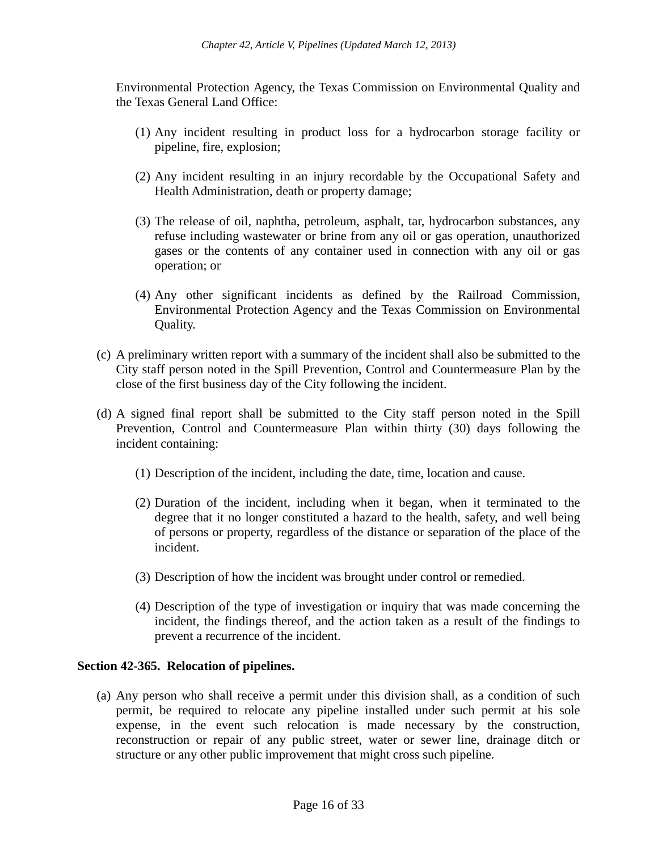Environmental Protection Agency, the Texas Commission on Environmental Quality and the Texas General Land Office:

- (1) Any incident resulting in product loss for a hydrocarbon storage facility or pipeline, fire, explosion;
- (2) Any incident resulting in an injury recordable by the Occupational Safety and Health Administration, death or property damage;
- (3) The release of oil, naphtha, petroleum, asphalt, tar, hydrocarbon substances, any refuse including wastewater or brine from any oil or gas operation, unauthorized gases or the contents of any container used in connection with any oil or gas operation; or
- (4) Any other significant incidents as defined by the Railroad Commission, Environmental Protection Agency and the Texas Commission on Environmental Quality.
- (c) A preliminary written report with a summary of the incident shall also be submitted to the City staff person noted in the Spill Prevention, Control and Countermeasure Plan by the close of the first business day of the City following the incident.
- (d) A signed final report shall be submitted to the City staff person noted in the Spill Prevention, Control and Countermeasure Plan within thirty (30) days following the incident containing:
	- (1) Description of the incident, including the date, time, location and cause.
	- (2) Duration of the incident, including when it began, when it terminated to the degree that it no longer constituted a hazard to the health, safety, and well being of persons or property, regardless of the distance or separation of the place of the incident.
	- (3) Description of how the incident was brought under control or remedied.
	- (4) Description of the type of investigation or inquiry that was made concerning the incident, the findings thereof, and the action taken as a result of the findings to prevent a recurrence of the incident.

## **Section 42-365. Relocation of pipelines.**

(a) Any person who shall receive a permit under this division shall, as a condition of such permit, be required to relocate any pipeline installed under such permit at his sole expense, in the event such relocation is made necessary by the construction, reconstruction or repair of any public street, water or sewer line, drainage ditch or structure or any other public improvement that might cross such pipeline.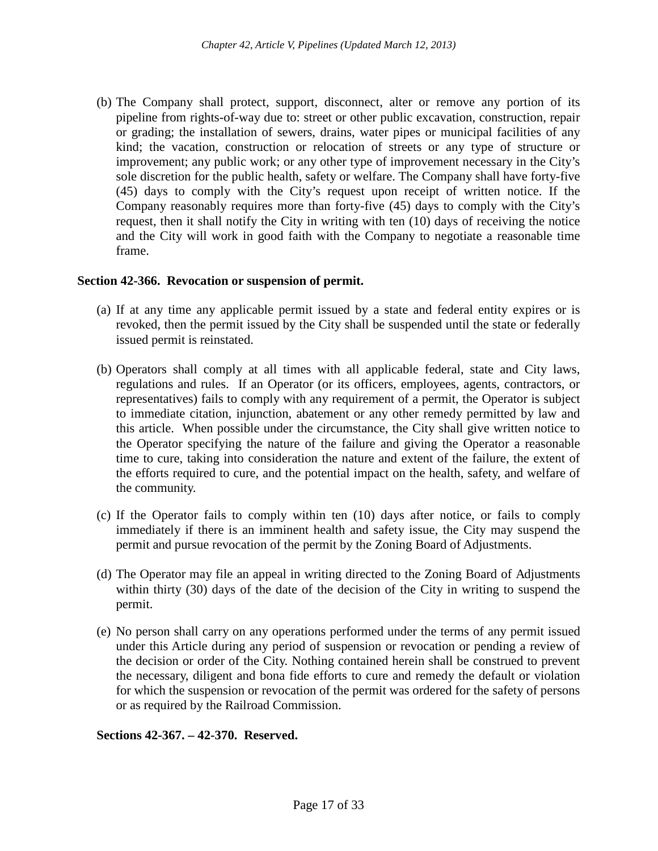(b) The Company shall protect, support, disconnect, alter or remove any portion of its pipeline from rights-of-way due to: street or other public excavation, construction, repair or grading; the installation of sewers, drains, water pipes or municipal facilities of any kind; the vacation, construction or relocation of streets or any type of structure or improvement; any public work; or any other type of improvement necessary in the City's sole discretion for the public health, safety or welfare. The Company shall have forty-five (45) days to comply with the City's request upon receipt of written notice. If the Company reasonably requires more than forty-five (45) days to comply with the City's request, then it shall notify the City in writing with ten (10) days of receiving the notice and the City will work in good faith with the Company to negotiate a reasonable time frame.

# **Section 42-366. Revocation or suspension of permit.**

- (a) If at any time any applicable permit issued by a state and federal entity expires or is revoked, then the permit issued by the City shall be suspended until the state or federally issued permit is reinstated.
- (b) Operators shall comply at all times with all applicable federal, state and City laws, regulations and rules. If an Operator (or its officers, employees, agents, contractors, or representatives) fails to comply with any requirement of a permit, the Operator is subject to immediate citation, injunction, abatement or any other remedy permitted by law and this article. When possible under the circumstance, the City shall give written notice to the Operator specifying the nature of the failure and giving the Operator a reasonable time to cure, taking into consideration the nature and extent of the failure, the extent of the efforts required to cure, and the potential impact on the health, safety, and welfare of the community.
- (c) If the Operator fails to comply within ten (10) days after notice, or fails to comply immediately if there is an imminent health and safety issue, the City may suspend the permit and pursue revocation of the permit by the Zoning Board of Adjustments.
- (d) The Operator may file an appeal in writing directed to the Zoning Board of Adjustments within thirty (30) days of the date of the decision of the City in writing to suspend the permit.
- (e) No person shall carry on any operations performed under the terms of any permit issued under this Article during any period of suspension or revocation or pending a review of the decision or order of the City. Nothing contained herein shall be construed to prevent the necessary, diligent and bona fide efforts to cure and remedy the default or violation for which the suspension or revocation of the permit was ordered for the safety of persons or as required by the Railroad Commission.

**Sections 42-367. – 42-370. Reserved.**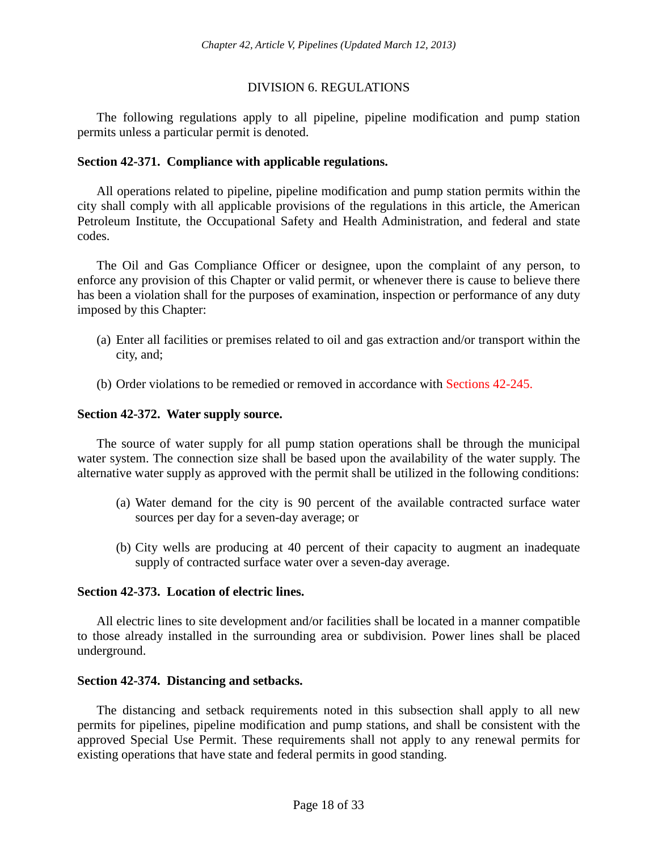# DIVISION 6. REGULATIONS

The following regulations apply to all pipeline, pipeline modification and pump station permits unless a particular permit is denoted.

## **Section 42-371. Compliance with applicable regulations.**

All operations related to pipeline, pipeline modification and pump station permits within the city shall comply with all applicable provisions of the regulations in this article, the American Petroleum Institute, the Occupational Safety and Health Administration, and federal and state codes.

The Oil and Gas Compliance Officer or designee, upon the complaint of any person, to enforce any provision of this Chapter or valid permit, or whenever there is cause to believe there has been a violation shall for the purposes of examination, inspection or performance of any duty imposed by this Chapter:

- (a) Enter all facilities or premises related to oil and gas extraction and/or transport within the city, and;
- (b) Order violations to be remedied or removed in accordance with Sections 42-245.

# **Section 42-372. Water supply source.**

The source of water supply for all pump station operations shall be through the municipal water system. The connection size shall be based upon the availability of the water supply. The alternative water supply as approved with the permit shall be utilized in the following conditions:

- (a) Water demand for the city is 90 percent of the available contracted surface water sources per day for a seven-day average; or
- (b) City wells are producing at 40 percent of their capacity to augment an inadequate supply of contracted surface water over a seven-day average.

## **Section 42-373. Location of electric lines.**

All electric lines to site development and/or facilities shall be located in a manner compatible to those already installed in the surrounding area or subdivision. Power lines shall be placed underground.

## **Section 42-374. Distancing and setbacks.**

The distancing and setback requirements noted in this subsection shall apply to all new permits for pipelines, pipeline modification and pump stations, and shall be consistent with the approved Special Use Permit. These requirements shall not apply to any renewal permits for existing operations that have state and federal permits in good standing.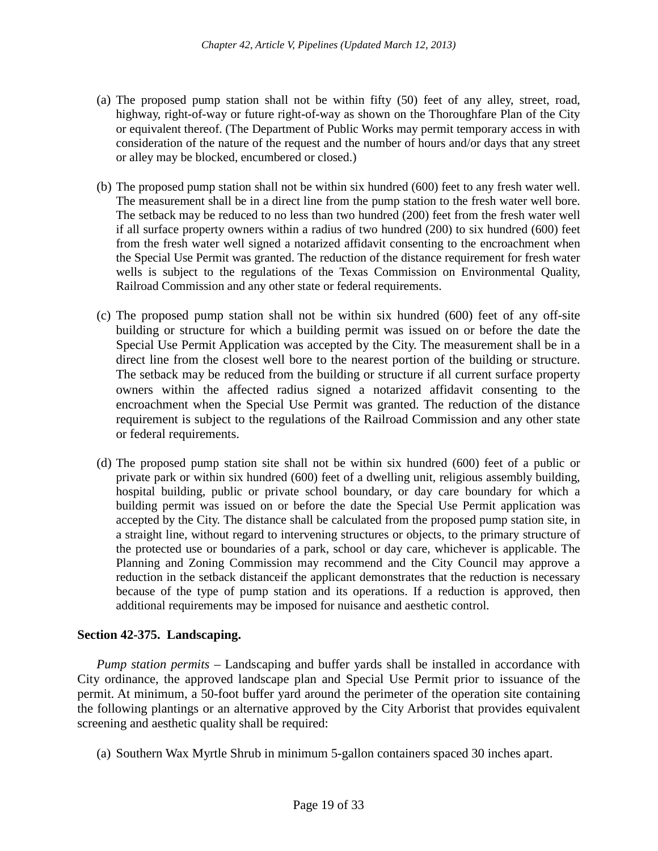- (a) The proposed pump station shall not be within fifty (50) feet of any alley, street, road, highway, right-of-way or future right-of-way as shown on the Thoroughfare Plan of the City or equivalent thereof. (The Department of Public Works may permit temporary access in with consideration of the nature of the request and the number of hours and/or days that any street or alley may be blocked, encumbered or closed.)
- (b) The proposed pump station shall not be within six hundred (600) feet to any fresh water well. The measurement shall be in a direct line from the pump station to the fresh water well bore. The setback may be reduced to no less than two hundred (200) feet from the fresh water well if all surface property owners within a radius of two hundred (200) to six hundred (600) feet from the fresh water well signed a notarized affidavit consenting to the encroachment when the Special Use Permit was granted. The reduction of the distance requirement for fresh water wells is subject to the regulations of the Texas Commission on Environmental Quality, Railroad Commission and any other state or federal requirements.
- (c) The proposed pump station shall not be within six hundred (600) feet of any off-site building or structure for which a building permit was issued on or before the date the Special Use Permit Application was accepted by the City. The measurement shall be in a direct line from the closest well bore to the nearest portion of the building or structure. The setback may be reduced from the building or structure if all current surface property owners within the affected radius signed a notarized affidavit consenting to the encroachment when the Special Use Permit was granted. The reduction of the distance requirement is subject to the regulations of the Railroad Commission and any other state or federal requirements.
- (d) The proposed pump station site shall not be within six hundred (600) feet of a public or private park or within six hundred (600) feet of a dwelling unit, religious assembly building, hospital building, public or private school boundary, or day care boundary for which a building permit was issued on or before the date the Special Use Permit application was accepted by the City. The distance shall be calculated from the proposed pump station site, in a straight line, without regard to intervening structures or objects, to the primary structure of the protected use or boundaries of a park, school or day care, whichever is applicable. The Planning and Zoning Commission may recommend and the City Council may approve a reduction in the setback distanceif the applicant demonstrates that the reduction is necessary because of the type of pump station and its operations. If a reduction is approved, then additional requirements may be imposed for nuisance and aesthetic control.

# **Section 42-375. Landscaping.**

*Pump station permits* – Landscaping and buffer yards shall be installed in accordance with City ordinance, the approved landscape plan and Special Use Permit prior to issuance of the permit. At minimum, a 50-foot buffer yard around the perimeter of the operation site containing the following plantings or an alternative approved by the City Arborist that provides equivalent screening and aesthetic quality shall be required:

(a) Southern Wax Myrtle Shrub in minimum 5-gallon containers spaced 30 inches apart.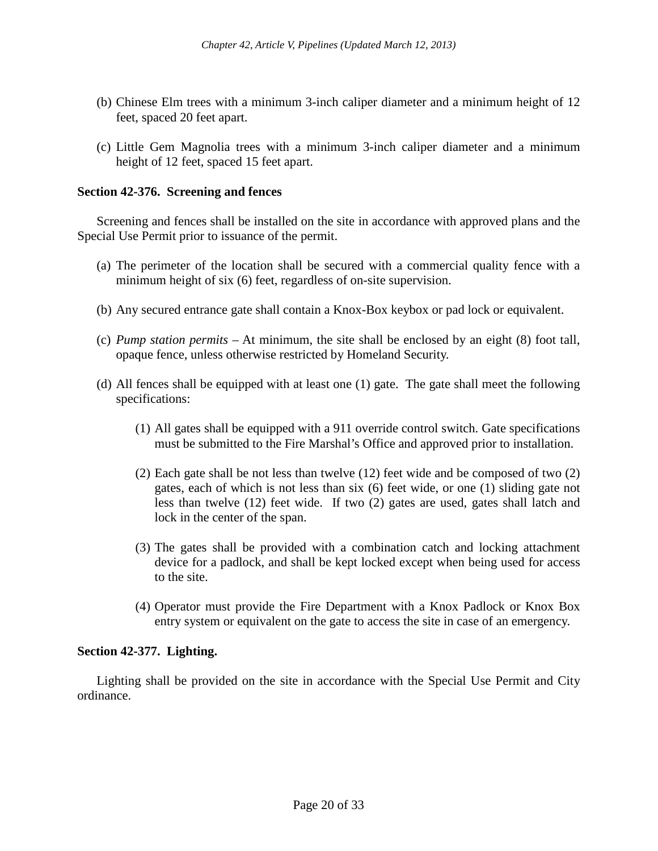- (b) Chinese Elm trees with a minimum 3-inch caliper diameter and a minimum height of 12 feet, spaced 20 feet apart.
- (c) Little Gem Magnolia trees with a minimum 3-inch caliper diameter and a minimum height of 12 feet, spaced 15 feet apart.

## **Section 42-376. Screening and fences**

Screening and fences shall be installed on the site in accordance with approved plans and the Special Use Permit prior to issuance of the permit.

- (a) The perimeter of the location shall be secured with a commercial quality fence with a minimum height of six (6) feet, regardless of on-site supervision.
- (b) Any secured entrance gate shall contain a Knox-Box keybox or pad lock or equivalent.
- (c) *Pump station permits –* At minimum, the site shall be enclosed by an eight (8) foot tall, opaque fence, unless otherwise restricted by Homeland Security.
- (d) All fences shall be equipped with at least one (1) gate. The gate shall meet the following specifications:
	- (1) All gates shall be equipped with a 911 override control switch. Gate specifications must be submitted to the Fire Marshal's Office and approved prior to installation.
	- (2) Each gate shall be not less than twelve (12) feet wide and be composed of two (2) gates, each of which is not less than six (6) feet wide, or one (1) sliding gate not less than twelve (12) feet wide. If two (2) gates are used, gates shall latch and lock in the center of the span.
	- (3) The gates shall be provided with a combination catch and locking attachment device for a padlock, and shall be kept locked except when being used for access to the site.
	- (4) Operator must provide the Fire Department with a Knox Padlock or Knox Box entry system or equivalent on the gate to access the site in case of an emergency.

## **Section 42-377. Lighting.**

Lighting shall be provided on the site in accordance with the Special Use Permit and City ordinance.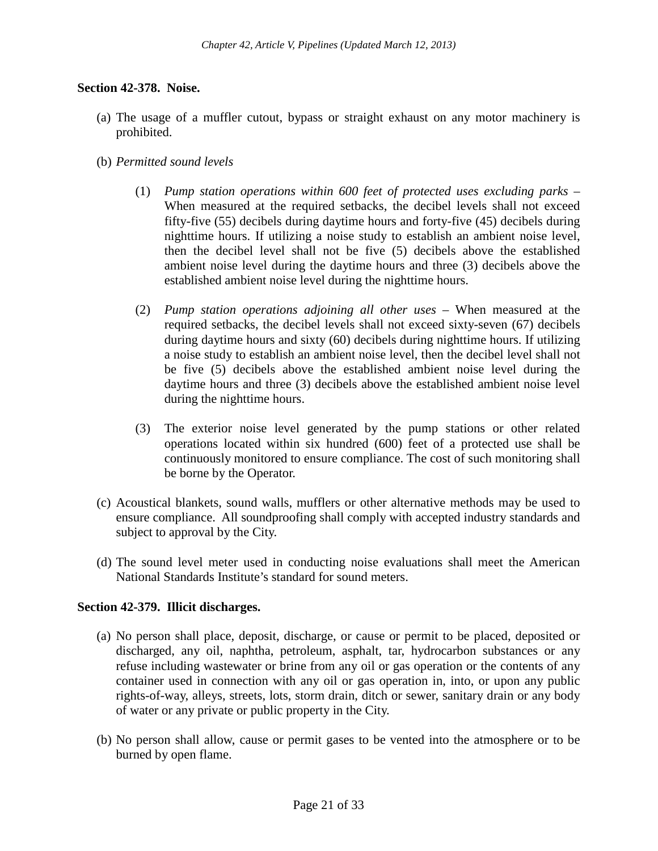## **Section 42-378. Noise.**

- (a) The usage of a muffler cutout, bypass or straight exhaust on any motor machinery is prohibited.
- (b) *Permitted sound levels*
	- (1) *Pump station operations within 600 feet of protected uses excluding parks –* When measured at the required setbacks, the decibel levels shall not exceed fifty-five (55) decibels during daytime hours and forty-five (45) decibels during nighttime hours. If utilizing a noise study to establish an ambient noise level, then the decibel level shall not be five (5) decibels above the established ambient noise level during the daytime hours and three (3) decibels above the established ambient noise level during the nighttime hours.
	- (2) *Pump station operations adjoining all other uses –* When measured at the required setbacks, the decibel levels shall not exceed sixty-seven (67) decibels during daytime hours and sixty (60) decibels during nighttime hours. If utilizing a noise study to establish an ambient noise level, then the decibel level shall not be five (5) decibels above the established ambient noise level during the daytime hours and three (3) decibels above the established ambient noise level during the nighttime hours.
	- (3) The exterior noise level generated by the pump stations or other related operations located within six hundred (600) feet of a protected use shall be continuously monitored to ensure compliance. The cost of such monitoring shall be borne by the Operator.
- (c) Acoustical blankets, sound walls, mufflers or other alternative methods may be used to ensure compliance. All soundproofing shall comply with accepted industry standards and subject to approval by the City.
- (d) The sound level meter used in conducting noise evaluations shall meet the American National Standards Institute's standard for sound meters.

## **Section 42-379. Illicit discharges.**

- (a) No person shall place, deposit, discharge, or cause or permit to be placed, deposited or discharged, any oil, naphtha, petroleum, asphalt, tar, hydrocarbon substances or any refuse including wastewater or brine from any oil or gas operation or the contents of any container used in connection with any oil or gas operation in, into, or upon any public rights-of-way, alleys, streets, lots, storm drain, ditch or sewer, sanitary drain or any body of water or any private or public property in the City.
- (b) No person shall allow, cause or permit gases to be vented into the atmosphere or to be burned by open flame.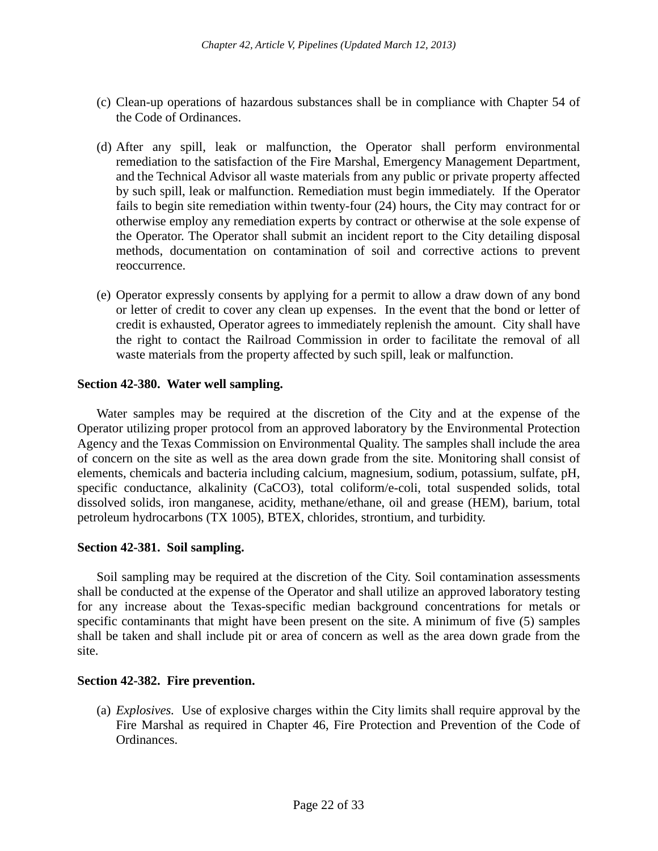- (c) Clean-up operations of hazardous substances shall be in compliance with Chapter 54 of the Code of Ordinances.
- (d) After any spill, leak or malfunction, the Operator shall perform environmental remediation to the satisfaction of the Fire Marshal, Emergency Management Department, and the Technical Advisor all waste materials from any public or private property affected by such spill, leak or malfunction. Remediation must begin immediately. If the Operator fails to begin site remediation within twenty-four (24) hours, the City may contract for or otherwise employ any remediation experts by contract or otherwise at the sole expense of the Operator. The Operator shall submit an incident report to the City detailing disposal methods, documentation on contamination of soil and corrective actions to prevent reoccurrence.
- (e) Operator expressly consents by applying for a permit to allow a draw down of any bond or letter of credit to cover any clean up expenses. In the event that the bond or letter of credit is exhausted, Operator agrees to immediately replenish the amount. City shall have the right to contact the Railroad Commission in order to facilitate the removal of all waste materials from the property affected by such spill, leak or malfunction.

## **Section 42-380. Water well sampling.**

Water samples may be required at the discretion of the City and at the expense of the Operator utilizing proper protocol from an approved laboratory by the Environmental Protection Agency and the Texas Commission on Environmental Quality. The samples shall include the area of concern on the site as well as the area down grade from the site. Monitoring shall consist of elements, chemicals and bacteria including calcium, magnesium, sodium, potassium, sulfate, pH, specific conductance, alkalinity (CaCO3), total coliform/e-coli, total suspended solids, total dissolved solids, iron manganese, acidity, methane/ethane, oil and grease (HEM), barium, total petroleum hydrocarbons (TX 1005), BTEX, chlorides, strontium, and turbidity.

## **Section 42-381. Soil sampling.**

Soil sampling may be required at the discretion of the City. Soil contamination assessments shall be conducted at the expense of the Operator and shall utilize an approved laboratory testing for any increase about the Texas-specific median background concentrations for metals or specific contaminants that might have been present on the site. A minimum of five (5) samples shall be taken and shall include pit or area of concern as well as the area down grade from the site.

## **Section 42-382. Fire prevention.**

(a) *Explosives.* Use of explosive charges within the City limits shall require approval by the Fire Marshal as required in Chapter 46, Fire Protection and Prevention of the Code of Ordinances.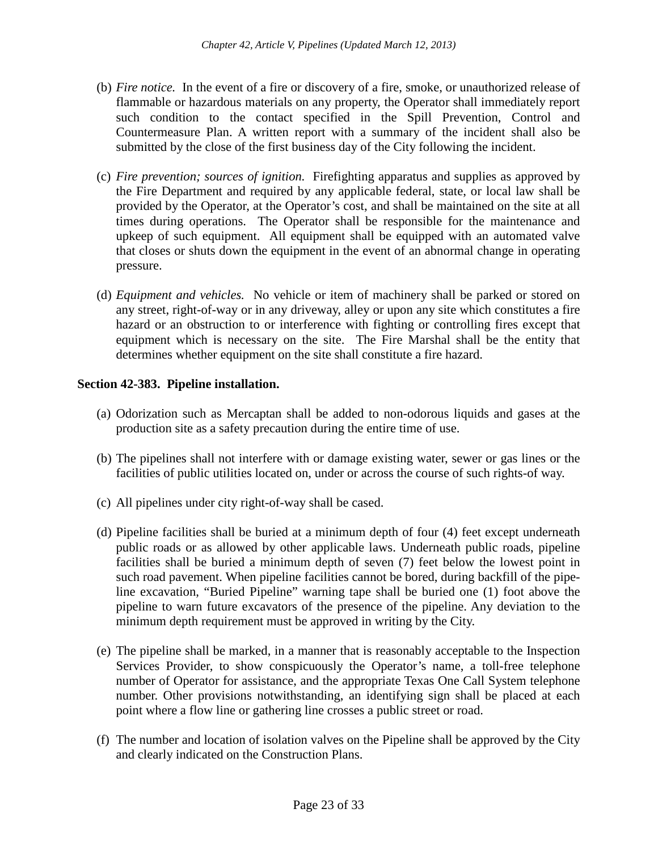- (b) *Fire notice.* In the event of a fire or discovery of a fire, smoke, or unauthorized release of flammable or hazardous materials on any property, the Operator shall immediately report such condition to the contact specified in the Spill Prevention, Control and Countermeasure Plan. A written report with a summary of the incident shall also be submitted by the close of the first business day of the City following the incident.
- (c) *Fire prevention; sources of ignition.* Firefighting apparatus and supplies as approved by the Fire Department and required by any applicable federal, state, or local law shall be provided by the Operator, at the Operator's cost, and shall be maintained on the site at all times during operations. The Operator shall be responsible for the maintenance and upkeep of such equipment. All equipment shall be equipped with an automated valve that closes or shuts down the equipment in the event of an abnormal change in operating pressure.
- (d) *Equipment and vehicles.* No vehicle or item of machinery shall be parked or stored on any street, right-of-way or in any driveway, alley or upon any site which constitutes a fire hazard or an obstruction to or interference with fighting or controlling fires except that equipment which is necessary on the site. The Fire Marshal shall be the entity that determines whether equipment on the site shall constitute a fire hazard.

# **Section 42-383. Pipeline installation.**

- (a) Odorization such as Mercaptan shall be added to non-odorous liquids and gases at the production site as a safety precaution during the entire time of use.
- (b) The pipelines shall not interfere with or damage existing water, sewer or gas lines or the facilities of public utilities located on, under or across the course of such rights-of way.
- (c) All pipelines under city right-of-way shall be cased.
- (d) Pipeline facilities shall be buried at a minimum depth of four (4) feet except underneath public roads or as allowed by other applicable laws. Underneath public roads, pipeline facilities shall be buried a minimum depth of seven (7) feet below the lowest point in such road pavement. When pipeline facilities cannot be bored, during backfill of the pipeline excavation, "Buried Pipeline" warning tape shall be buried one (1) foot above the pipeline to warn future excavators of the presence of the pipeline. Any deviation to the minimum depth requirement must be approved in writing by the City.
- (e) The pipeline shall be marked, in a manner that is reasonably acceptable to the Inspection Services Provider, to show conspicuously the Operator's name, a toll-free telephone number of Operator for assistance, and the appropriate Texas One Call System telephone number. Other provisions notwithstanding, an identifying sign shall be placed at each point where a flow line or gathering line crosses a public street or road.
- (f) The number and location of isolation valves on the Pipeline shall be approved by the City and clearly indicated on the Construction Plans.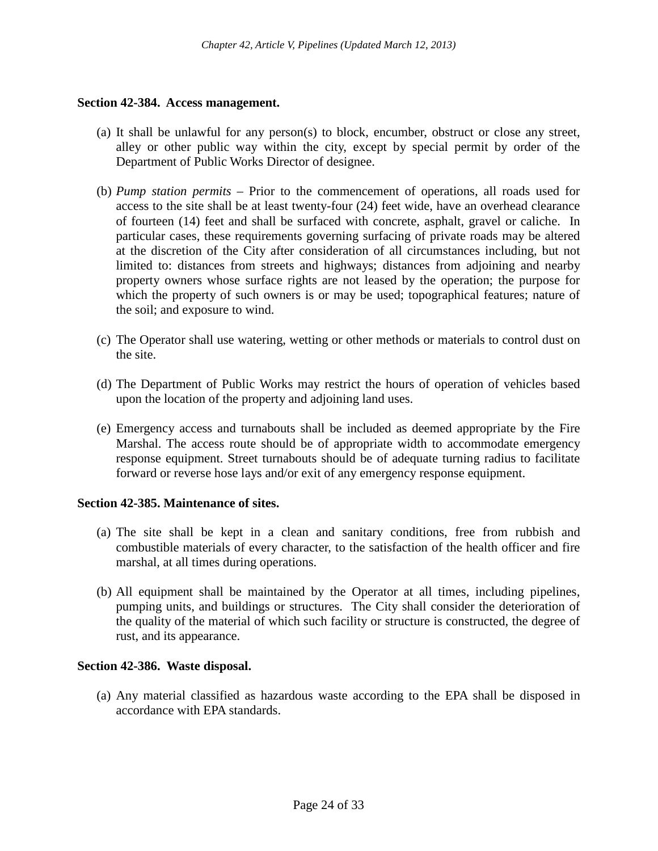### **Section 42-384. Access management.**

- (a) It shall be unlawful for any person(s) to block, encumber, obstruct or close any street, alley or other public way within the city, except by special permit by order of the Department of Public Works Director of designee.
- (b) *Pump station permits –* Prior to the commencement of operations, all roads used for access to the site shall be at least twenty-four (24) feet wide, have an overhead clearance of fourteen (14) feet and shall be surfaced with concrete, asphalt, gravel or caliche. In particular cases, these requirements governing surfacing of private roads may be altered at the discretion of the City after consideration of all circumstances including, but not limited to: distances from streets and highways; distances from adjoining and nearby property owners whose surface rights are not leased by the operation; the purpose for which the property of such owners is or may be used; topographical features; nature of the soil; and exposure to wind.
- (c) The Operator shall use watering, wetting or other methods or materials to control dust on the site.
- (d) The Department of Public Works may restrict the hours of operation of vehicles based upon the location of the property and adjoining land uses.
- (e) Emergency access and turnabouts shall be included as deemed appropriate by the Fire Marshal. The access route should be of appropriate width to accommodate emergency response equipment. Street turnabouts should be of adequate turning radius to facilitate forward or reverse hose lays and/or exit of any emergency response equipment.

## **Section 42-385. Maintenance of sites.**

- (a) The site shall be kept in a clean and sanitary conditions, free from rubbish and combustible materials of every character, to the satisfaction of the health officer and fire marshal, at all times during operations.
- (b) All equipment shall be maintained by the Operator at all times, including pipelines, pumping units, and buildings or structures. The City shall consider the deterioration of the quality of the material of which such facility or structure is constructed, the degree of rust, and its appearance.

## **Section 42-386. Waste disposal.**

(a) Any material classified as hazardous waste according to the EPA shall be disposed in accordance with EPA standards.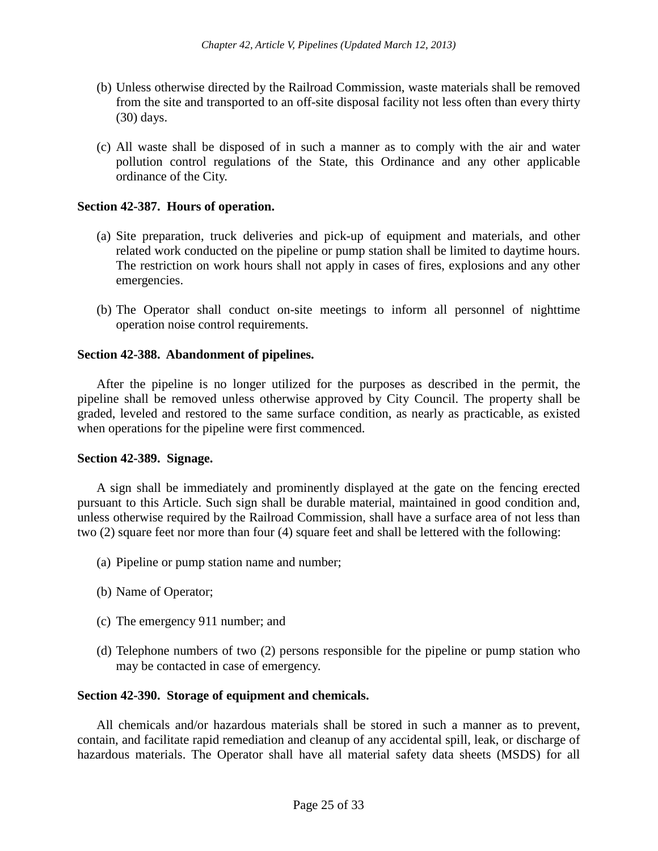- (b) Unless otherwise directed by the Railroad Commission, waste materials shall be removed from the site and transported to an off-site disposal facility not less often than every thirty (30) days.
- (c) All waste shall be disposed of in such a manner as to comply with the air and water pollution control regulations of the State, this Ordinance and any other applicable ordinance of the City.

## **Section 42-387. Hours of operation.**

- (a) Site preparation, truck deliveries and pick-up of equipment and materials, and other related work conducted on the pipeline or pump station shall be limited to daytime hours. The restriction on work hours shall not apply in cases of fires, explosions and any other emergencies.
- (b) The Operator shall conduct on-site meetings to inform all personnel of nighttime operation noise control requirements.

## **Section 42-388. Abandonment of pipelines.**

After the pipeline is no longer utilized for the purposes as described in the permit, the pipeline shall be removed unless otherwise approved by City Council. The property shall be graded, leveled and restored to the same surface condition, as nearly as practicable, as existed when operations for the pipeline were first commenced.

## **Section 42-389. Signage.**

A sign shall be immediately and prominently displayed at the gate on the fencing erected pursuant to this Article. Such sign shall be durable material, maintained in good condition and, unless otherwise required by the Railroad Commission, shall have a surface area of not less than two (2) square feet nor more than four (4) square feet and shall be lettered with the following:

- (a) Pipeline or pump station name and number;
- (b) Name of Operator;
- (c) The emergency 911 number; and
- (d) Telephone numbers of two (2) persons responsible for the pipeline or pump station who may be contacted in case of emergency.

## **Section 42-390. Storage of equipment and chemicals.**

All chemicals and/or hazardous materials shall be stored in such a manner as to prevent, contain, and facilitate rapid remediation and cleanup of any accidental spill, leak, or discharge of hazardous materials. The Operator shall have all material safety data sheets (MSDS) for all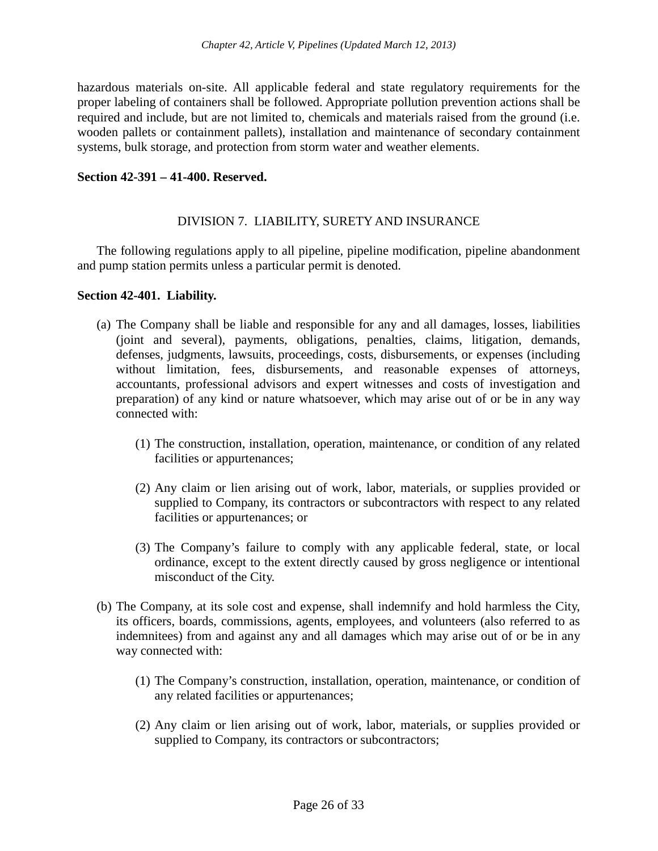hazardous materials on-site. All applicable federal and state regulatory requirements for the proper labeling of containers shall be followed. Appropriate pollution prevention actions shall be required and include, but are not limited to, chemicals and materials raised from the ground (i.e. wooden pallets or containment pallets), installation and maintenance of secondary containment systems, bulk storage, and protection from storm water and weather elements.

## **Section 42-391 – 41-400. Reserved.**

# DIVISION 7. LIABILITY, SURETY AND INSURANCE

The following regulations apply to all pipeline, pipeline modification, pipeline abandonment and pump station permits unless a particular permit is denoted.

## **Section 42-401. Liability.**

- (a) The Company shall be liable and responsible for any and all damages, losses, liabilities (joint and several), payments, obligations, penalties, claims, litigation, demands, defenses, judgments, lawsuits, proceedings, costs, disbursements, or expenses (including without limitation, fees, disbursements, and reasonable expenses of attorneys, accountants, professional advisors and expert witnesses and costs of investigation and preparation) of any kind or nature whatsoever, which may arise out of or be in any way connected with:
	- (1) The construction, installation, operation, maintenance, or condition of any related facilities or appurtenances;
	- (2) Any claim or lien arising out of work, labor, materials, or supplies provided or supplied to Company, its contractors or subcontractors with respect to any related facilities or appurtenances; or
	- (3) The Company's failure to comply with any applicable federal, state, or local ordinance, except to the extent directly caused by gross negligence or intentional misconduct of the City.
- (b) The Company, at its sole cost and expense, shall indemnify and hold harmless the City, its officers, boards, commissions, agents, employees, and volunteers (also referred to as indemnitees) from and against any and all damages which may arise out of or be in any way connected with:
	- (1) The Company's construction, installation, operation, maintenance, or condition of any related facilities or appurtenances;
	- (2) Any claim or lien arising out of work, labor, materials, or supplies provided or supplied to Company, its contractors or subcontractors;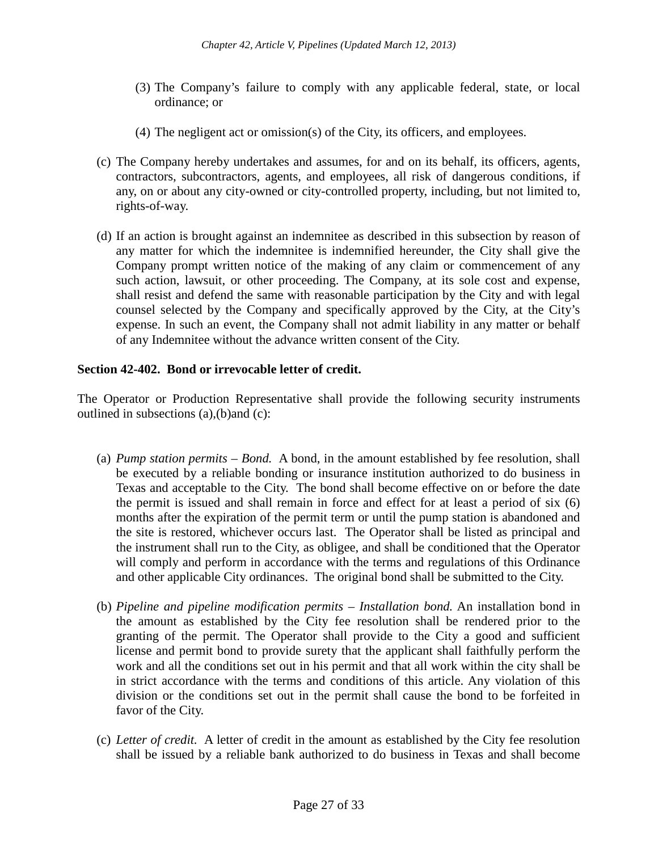- (3) The Company's failure to comply with any applicable federal, state, or local ordinance; or
- (4) The negligent act or omission(s) of the City, its officers, and employees.
- (c) The Company hereby undertakes and assumes, for and on its behalf, its officers, agents, contractors, subcontractors, agents, and employees, all risk of dangerous conditions, if any, on or about any city-owned or city-controlled property, including, but not limited to, rights-of-way.
- (d) If an action is brought against an indemnitee as described in this subsection by reason of any matter for which the indemnitee is indemnified hereunder, the City shall give the Company prompt written notice of the making of any claim or commencement of any such action, lawsuit, or other proceeding. The Company, at its sole cost and expense, shall resist and defend the same with reasonable participation by the City and with legal counsel selected by the Company and specifically approved by the City, at the City's expense. In such an event, the Company shall not admit liability in any matter or behalf of any Indemnitee without the advance written consent of the City.

## **Section 42-402. Bond or irrevocable letter of credit.**

The Operator or Production Representative shall provide the following security instruments outlined in subsections (a),(b)and (c):

- (a) *Pump station permits – Bond.* A bond, in the amount established by fee resolution, shall be executed by a reliable bonding or insurance institution authorized to do business in Texas and acceptable to the City. The bond shall become effective on or before the date the permit is issued and shall remain in force and effect for at least a period of six (6) months after the expiration of the permit term or until the pump station is abandoned and the site is restored, whichever occurs last. The Operator shall be listed as principal and the instrument shall run to the City, as obligee, and shall be conditioned that the Operator will comply and perform in accordance with the terms and regulations of this Ordinance and other applicable City ordinances. The original bond shall be submitted to the City.
- (b) *Pipeline and pipeline modification permits – Installation bond.* An installation bond in the amount as established by the City fee resolution shall be rendered prior to the granting of the permit. The Operator shall provide to the City a good and sufficient license and permit bond to provide surety that the applicant shall faithfully perform the work and all the conditions set out in his permit and that all work within the city shall be in strict accordance with the terms and conditions of this article. Any violation of this division or the conditions set out in the permit shall cause the bond to be forfeited in favor of the City.
- (c) *Letter of credit.* A letter of credit in the amount as established by the City fee resolution shall be issued by a reliable bank authorized to do business in Texas and shall become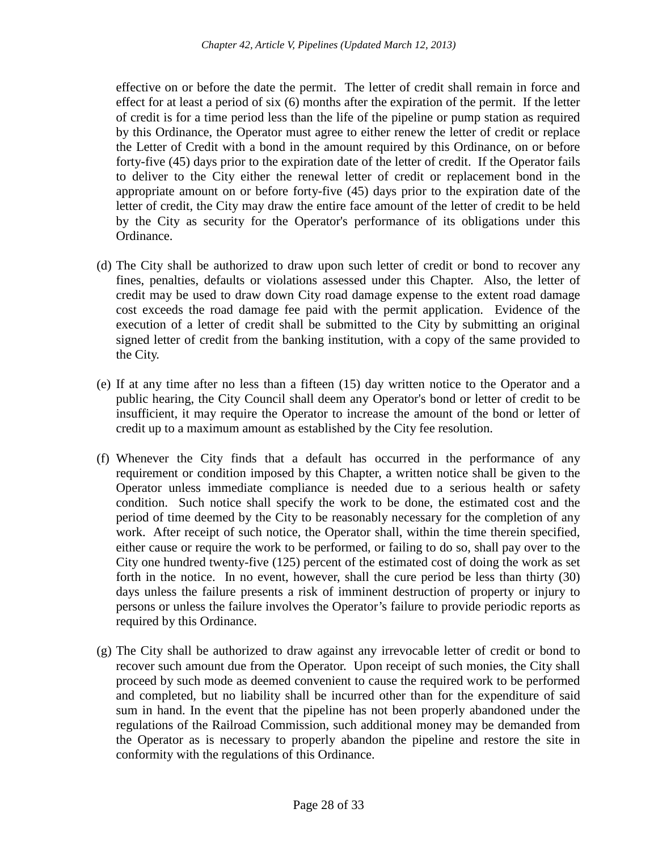effective on or before the date the permit. The letter of credit shall remain in force and effect for at least a period of six (6) months after the expiration of the permit. If the letter of credit is for a time period less than the life of the pipeline or pump station as required by this Ordinance, the Operator must agree to either renew the letter of credit or replace the Letter of Credit with a bond in the amount required by this Ordinance, on or before forty-five (45) days prior to the expiration date of the letter of credit. If the Operator fails to deliver to the City either the renewal letter of credit or replacement bond in the appropriate amount on or before forty-five (45) days prior to the expiration date of the letter of credit, the City may draw the entire face amount of the letter of credit to be held by the City as security for the Operator's performance of its obligations under this Ordinance.

- (d) The City shall be authorized to draw upon such letter of credit or bond to recover any fines, penalties, defaults or violations assessed under this Chapter. Also, the letter of credit may be used to draw down City road damage expense to the extent road damage cost exceeds the road damage fee paid with the permit application. Evidence of the execution of a letter of credit shall be submitted to the City by submitting an original signed letter of credit from the banking institution, with a copy of the same provided to the City.
- (e) If at any time after no less than a fifteen (15) day written notice to the Operator and a public hearing, the City Council shall deem any Operator's bond or letter of credit to be insufficient, it may require the Operator to increase the amount of the bond or letter of credit up to a maximum amount as established by the City fee resolution.
- (f) Whenever the City finds that a default has occurred in the performance of any requirement or condition imposed by this Chapter, a written notice shall be given to the Operator unless immediate compliance is needed due to a serious health or safety condition. Such notice shall specify the work to be done, the estimated cost and the period of time deemed by the City to be reasonably necessary for the completion of any work. After receipt of such notice, the Operator shall, within the time therein specified, either cause or require the work to be performed, or failing to do so, shall pay over to the City one hundred twenty-five (125) percent of the estimated cost of doing the work as set forth in the notice. In no event, however, shall the cure period be less than thirty (30) days unless the failure presents a risk of imminent destruction of property or injury to persons or unless the failure involves the Operator's failure to provide periodic reports as required by this Ordinance.
- (g) The City shall be authorized to draw against any irrevocable letter of credit or bond to recover such amount due from the Operator. Upon receipt of such monies, the City shall proceed by such mode as deemed convenient to cause the required work to be performed and completed, but no liability shall be incurred other than for the expenditure of said sum in hand. In the event that the pipeline has not been properly abandoned under the regulations of the Railroad Commission, such additional money may be demanded from the Operator as is necessary to properly abandon the pipeline and restore the site in conformity with the regulations of this Ordinance.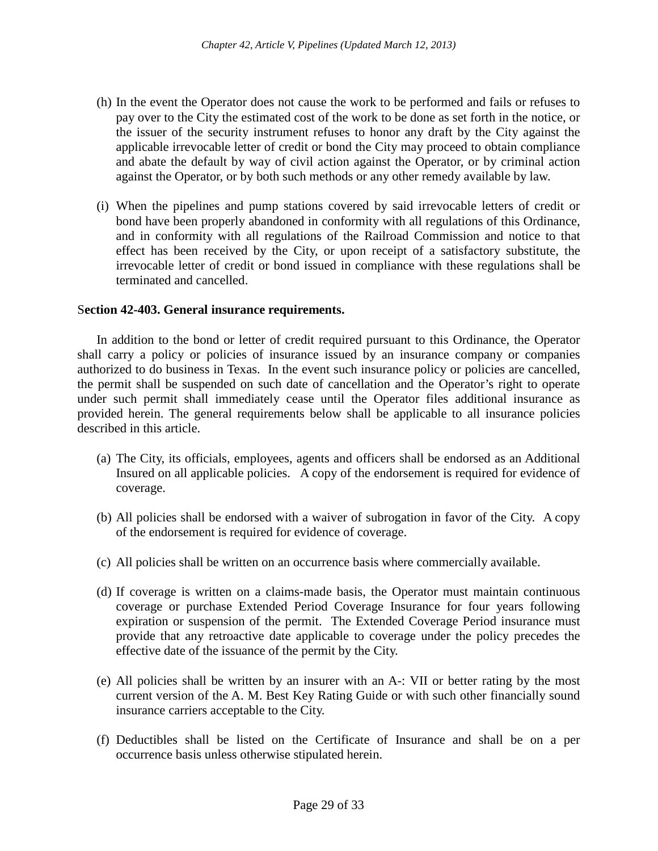- (h) In the event the Operator does not cause the work to be performed and fails or refuses to pay over to the City the estimated cost of the work to be done as set forth in the notice, or the issuer of the security instrument refuses to honor any draft by the City against the applicable irrevocable letter of credit or bond the City may proceed to obtain compliance and abate the default by way of civil action against the Operator, or by criminal action against the Operator, or by both such methods or any other remedy available by law.
- (i) When the pipelines and pump stations covered by said irrevocable letters of credit or bond have been properly abandoned in conformity with all regulations of this Ordinance, and in conformity with all regulations of the Railroad Commission and notice to that effect has been received by the City, or upon receipt of a satisfactory substitute, the irrevocable letter of credit or bond issued in compliance with these regulations shall be terminated and cancelled.

#### S**ection 42-403. General insurance requirements.**

In addition to the bond or letter of credit required pursuant to this Ordinance, the Operator shall carry a policy or policies of insurance issued by an insurance company or companies authorized to do business in Texas. In the event such insurance policy or policies are cancelled, the permit shall be suspended on such date of cancellation and the Operator's right to operate under such permit shall immediately cease until the Operator files additional insurance as provided herein. The general requirements below shall be applicable to all insurance policies described in this article.

- (a) The City, its officials, employees, agents and officers shall be endorsed as an Additional Insured on all applicable policies. A copy of the endorsement is required for evidence of coverage.
- (b) All policies shall be endorsed with a waiver of subrogation in favor of the City. A copy of the endorsement is required for evidence of coverage.
- (c) All policies shall be written on an occurrence basis where commercially available.
- (d) If coverage is written on a claims-made basis, the Operator must maintain continuous coverage or purchase Extended Period Coverage Insurance for four years following expiration or suspension of the permit. The Extended Coverage Period insurance must provide that any retroactive date applicable to coverage under the policy precedes the effective date of the issuance of the permit by the City.
- (e) All policies shall be written by an insurer with an A-: VII or better rating by the most current version of the A. M. Best Key Rating Guide or with such other financially sound insurance carriers acceptable to the City.
- (f) Deductibles shall be listed on the Certificate of Insurance and shall be on a per occurrence basis unless otherwise stipulated herein.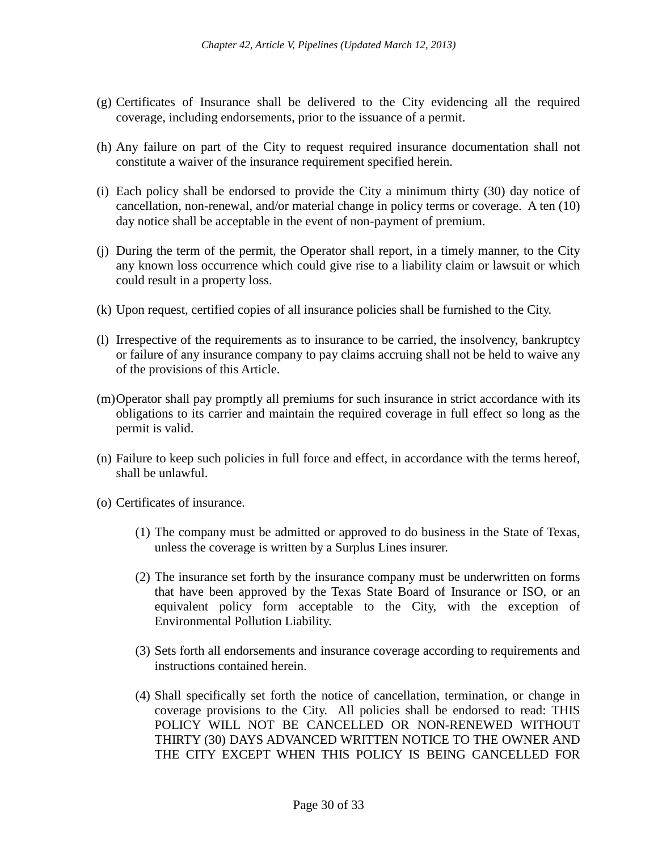- (g) Certificates of Insurance shall be delivered to the City evidencing all the required coverage, including endorsements, prior to the issuance of a permit.
- (h) Any failure on part of the City to request required insurance documentation shall not constitute a waiver of the insurance requirement specified herein.
- (i) Each policy shall be endorsed to provide the City a minimum thirty (30) day notice of cancellation, non-renewal, and/or material change in policy terms or coverage. A ten (10) day notice shall be acceptable in the event of non-payment of premium.
- (j) During the term of the permit, the Operator shall report, in a timely manner, to the City any known loss occurrence which could give rise to a liability claim or lawsuit or which could result in a property loss.
- (k) Upon request, certified copies of all insurance policies shall be furnished to the City.
- (l) Irrespective of the requirements as to insurance to be carried, the insolvency, bankruptcy or failure of any insurance company to pay claims accruing shall not be held to waive any of the provisions of this Article.
- (m)Operator shall pay promptly all premiums for such insurance in strict accordance with its obligations to its carrier and maintain the required coverage in full effect so long as the permit is valid.
- (n) Failure to keep such policies in full force and effect, in accordance with the terms hereof, shall be unlawful.
- (o) Certificates of insurance.
	- (1) The company must be admitted or approved to do business in the State of Texas, unless the coverage is written by a Surplus Lines insurer.
	- (2) The insurance set forth by the insurance company must be underwritten on forms that have been approved by the Texas State Board of Insurance or ISO, or an equivalent policy form acceptable to the City, with the exception of Environmental Pollution Liability.
	- (3) Sets forth all endorsements and insurance coverage according to requirements and instructions contained herein.
	- (4) Shall specifically set forth the notice of cancellation, termination, or change in coverage provisions to the City. All policies shall be endorsed to read: THIS POLICY WILL NOT BE CANCELLED OR NON-RENEWED WITHOUT THIRTY (30) DAYS ADVANCED WRITTEN NOTICE TO THE OWNER AND THE CITY EXCEPT WHEN THIS POLICY IS BEING CANCELLED FOR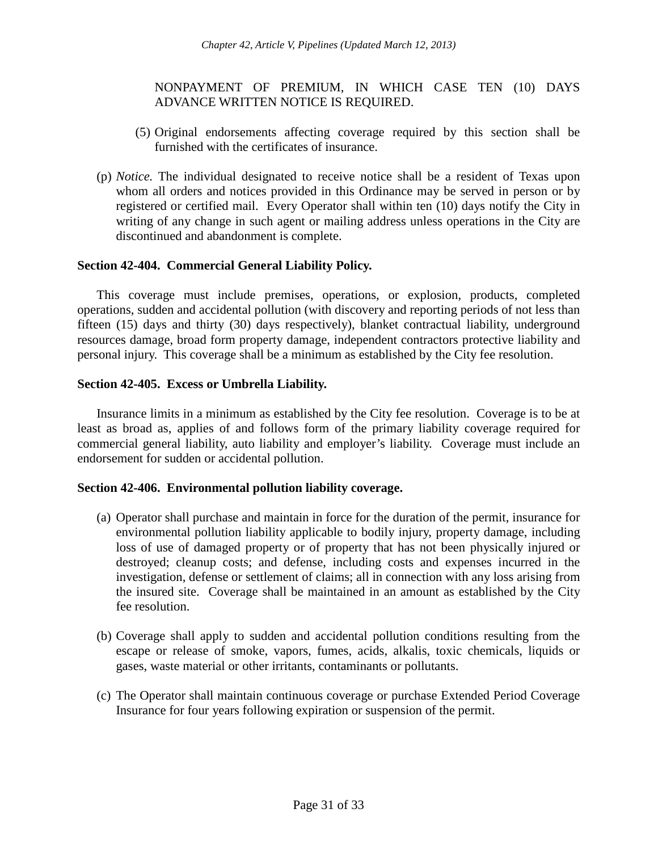## NONPAYMENT OF PREMIUM, IN WHICH CASE TEN (10) DAYS ADVANCE WRITTEN NOTICE IS REQUIRED.

- (5) Original endorsements affecting coverage required by this section shall be furnished with the certificates of insurance.
- (p) *Notice.* The individual designated to receive notice shall be a resident of Texas upon whom all orders and notices provided in this Ordinance may be served in person or by registered or certified mail. Every Operator shall within ten (10) days notify the City in writing of any change in such agent or mailing address unless operations in the City are discontinued and abandonment is complete.

## **Section 42-404. Commercial General Liability Policy.**

This coverage must include premises, operations, or explosion, products, completed operations, sudden and accidental pollution (with discovery and reporting periods of not less than fifteen (15) days and thirty (30) days respectively), blanket contractual liability, underground resources damage, broad form property damage, independent contractors protective liability and personal injury. This coverage shall be a minimum as established by the City fee resolution.

## **Section 42-405. Excess or Umbrella Liability.**

Insurance limits in a minimum as established by the City fee resolution. Coverage is to be at least as broad as, applies of and follows form of the primary liability coverage required for commercial general liability, auto liability and employer's liability. Coverage must include an endorsement for sudden or accidental pollution.

## **Section 42-406. Environmental pollution liability coverage.**

- (a) Operator shall purchase and maintain in force for the duration of the permit, insurance for environmental pollution liability applicable to bodily injury, property damage, including loss of use of damaged property or of property that has not been physically injured or destroyed; cleanup costs; and defense, including costs and expenses incurred in the investigation, defense or settlement of claims; all in connection with any loss arising from the insured site. Coverage shall be maintained in an amount as established by the City fee resolution.
- (b) Coverage shall apply to sudden and accidental pollution conditions resulting from the escape or release of smoke, vapors, fumes, acids, alkalis, toxic chemicals, liquids or gases, waste material or other irritants, contaminants or pollutants.
- (c) The Operator shall maintain continuous coverage or purchase Extended Period Coverage Insurance for four years following expiration or suspension of the permit.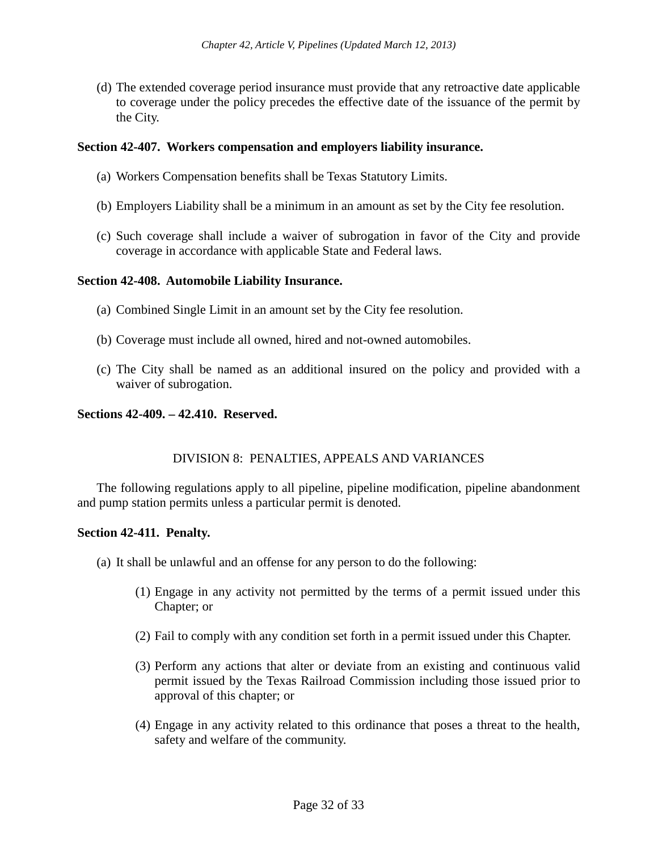(d) The extended coverage period insurance must provide that any retroactive date applicable to coverage under the policy precedes the effective date of the issuance of the permit by the City.

## **Section 42-407. Workers compensation and employers liability insurance.**

- (a) Workers Compensation benefits shall be Texas Statutory Limits.
- (b) Employers Liability shall be a minimum in an amount as set by the City fee resolution.
- (c) Such coverage shall include a waiver of subrogation in favor of the City and provide coverage in accordance with applicable State and Federal laws.

#### **Section 42-408. Automobile Liability Insurance.**

- (a) Combined Single Limit in an amount set by the City fee resolution.
- (b) Coverage must include all owned, hired and not-owned automobiles.
- (c) The City shall be named as an additional insured on the policy and provided with a waiver of subrogation.

#### **Sections 42-409. – 42.410. Reserved.**

## DIVISION 8: PENALTIES, APPEALS AND VARIANCES

The following regulations apply to all pipeline, pipeline modification, pipeline abandonment and pump station permits unless a particular permit is denoted.

#### **Section 42-411. Penalty.**

- (a) It shall be unlawful and an offense for any person to do the following:
	- (1) Engage in any activity not permitted by the terms of a permit issued under this Chapter; or
	- (2) Fail to comply with any condition set forth in a permit issued under this Chapter.
	- (3) Perform any actions that alter or deviate from an existing and continuous valid permit issued by the Texas Railroad Commission including those issued prior to approval of this chapter; or
	- (4) Engage in any activity related to this ordinance that poses a threat to the health, safety and welfare of the community.